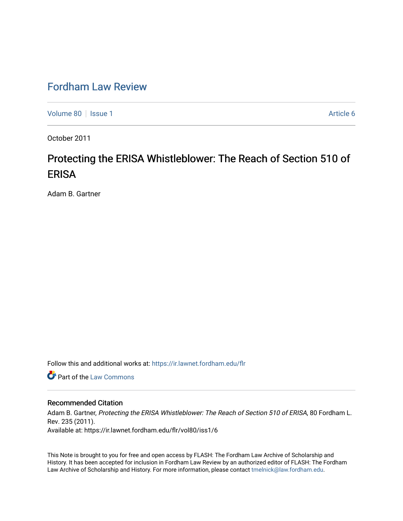## [Fordham Law Review](https://ir.lawnet.fordham.edu/flr)

[Volume 80](https://ir.lawnet.fordham.edu/flr/vol80) | [Issue 1](https://ir.lawnet.fordham.edu/flr/vol80/iss1) Article 6

October 2011

# Protecting the ERISA Whistleblower: The Reach of Section 510 of **ERISA**

Adam B. Gartner

Follow this and additional works at: [https://ir.lawnet.fordham.edu/flr](https://ir.lawnet.fordham.edu/flr?utm_source=ir.lawnet.fordham.edu%2Fflr%2Fvol80%2Fiss1%2F6&utm_medium=PDF&utm_campaign=PDFCoverPages)

**C** Part of the [Law Commons](http://network.bepress.com/hgg/discipline/578?utm_source=ir.lawnet.fordham.edu%2Fflr%2Fvol80%2Fiss1%2F6&utm_medium=PDF&utm_campaign=PDFCoverPages)

## Recommended Citation

Adam B. Gartner, Protecting the ERISA Whistleblower: The Reach of Section 510 of ERISA, 80 Fordham L. Rev. 235 (2011). Available at: https://ir.lawnet.fordham.edu/flr/vol80/iss1/6

This Note is brought to you for free and open access by FLASH: The Fordham Law Archive of Scholarship and History. It has been accepted for inclusion in Fordham Law Review by an authorized editor of FLASH: The Fordham Law Archive of Scholarship and History. For more information, please contact [tmelnick@law.fordham.edu](mailto:tmelnick@law.fordham.edu).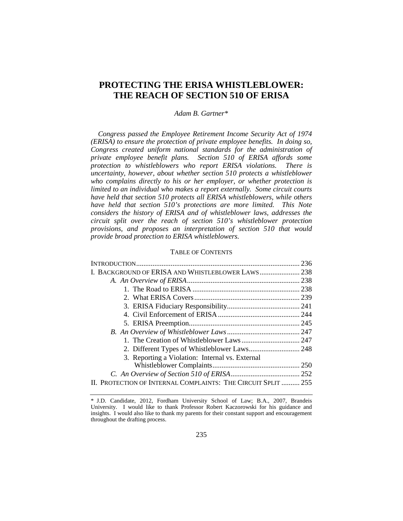## **PROTECTING THE ERISA WHISTLEBLOWER: THE REACH OF SECTION 510 OF ERISA**

## *Adam B. Gartner*[\\*](#page-1-0)

*Congress passed the Employee Retirement Income Security Act of 1974 (ERISA) to ensure the protection of private employee benefits. In doing so, Congress created uniform national standards for the administration of private employee benefit plans. Section 510 of ERISA affords some protection to whistleblowers who report ERISA violations. There is uncertainty, however, about whether section 510 protects a whistleblower who complains directly to his or her employer, or whether protection is limited to an individual who makes a report externally. Some circuit courts have held that section 510 protects all ERISA whistleblowers, while others have held that section 510's protections are more limited. This Note considers the history of ERISA and of whistleblower laws, addresses the circuit split over the reach of section 510's whistleblower protection provisions, and proposes an interpretation of section 510 that would provide broad protection to ERISA whistleblowers.*

#### TABLE OF CONTENTS

| I. BACKGROUND OF ERISA AND WHISTLEBLOWER LAWS 238             |  |
|---------------------------------------------------------------|--|
|                                                               |  |
|                                                               |  |
|                                                               |  |
|                                                               |  |
|                                                               |  |
|                                                               |  |
|                                                               |  |
|                                                               |  |
|                                                               |  |
| 3. Reporting a Violation: Internal vs. External               |  |
|                                                               |  |
|                                                               |  |
| II. PROTECTION OF INTERNAL COMPLAINTS: THE CIRCUIT SPLIT  255 |  |
|                                                               |  |

<span id="page-1-0"></span><sup>\*</sup> J.D. Candidate, 2012, Fordham University School of Law; B.A., 2007, Brandeis University. I would like to thank Professor Robert Kaczorowski for his guidance and insights. I would also like to thank my parents for their constant support and encouragement throughout the drafting process.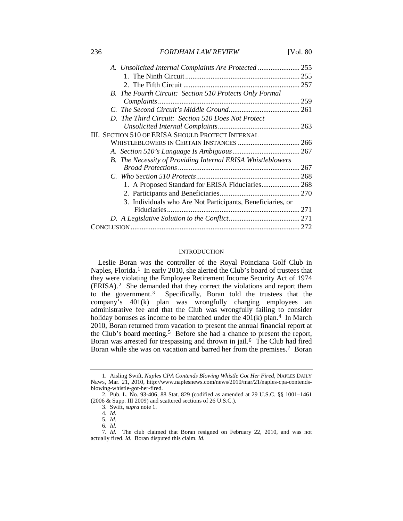| A. Unsolicited Internal Complaints Are Protected  255       |      |
|-------------------------------------------------------------|------|
|                                                             |      |
|                                                             |      |
| B. The Fourth Circuit: Section 510 Protects Only Formal     |      |
|                                                             | .259 |
|                                                             |      |
| D. The Third Circuit: Section 510 Does Not Protect          |      |
|                                                             |      |
| III. SECTION 510 OF ERISA SHOULD PROTECT INTERNAL           |      |
|                                                             |      |
|                                                             |      |
| B. The Necessity of Providing Internal ERISA Whistleblowers |      |
|                                                             |      |
|                                                             |      |
| 1. A Proposed Standard for ERISA Fiduciaries 268            |      |
|                                                             |      |
| 3. Individuals who Are Not Participants, Beneficiaries, or  |      |
|                                                             | 271  |
|                                                             |      |
|                                                             |      |
|                                                             |      |

#### **INTRODUCTION**

Leslie Boran was the controller of the Royal Poinciana Golf Club in Naples, Florida.<sup>[1](#page-2-0)</sup> In early 2010, she alerted the Club's board of trustees that they were violating the Employee Retirement Income Security Act of 1974 (ERISA).[2](#page-2-1) She demanded that they correct the violations and report them to the government.[3](#page-2-2) Specifically, Boran told the trustees that the company's 401(k) plan was wrongfully charging employees an administrative fee and that the Club was wrongfully failing to consider holiday bonuses as income to be matched under the  $401(k)$  plan.<sup>4</sup> In March 2010, Boran returned from vacation to present the annual financial report at the Club's board meeting.[5](#page-2-4) Before she had a chance to present the report, Boran was arrested for trespassing and thrown in jail.<sup>[6](#page-2-5)</sup> The Club had fired Boran while she was on vacation and barred her from the premises.<sup>[7](#page-2-6)</sup> Boran

<span id="page-2-0"></span><sup>1.</sup> Aisling Swift, *Naples CPA Contends Blowing Whistle Got Her Fired*, NAPLES DAILY NEWS, Mar. 21, 2010, http://www.naplesnews.com/news/2010/mar/21/naples-cpa-contendsblowing-whistle-got-her-fired.

<span id="page-2-2"></span><span id="page-2-1"></span><sup>2.</sup> Pub. L. No. 93-406, 88 Stat. 829 (codified as amended at 29 U.S.C. §§ 1001–1461 (2006 & Supp. III 2009) and scattered sections of 26 U.S.C.).

<sup>3.</sup> Swift, *supra* note 1.

<sup>4</sup>*. Id.*

<sup>5</sup>*. Id.*

<sup>6</sup>*. Id.*

<span id="page-2-6"></span><span id="page-2-5"></span><span id="page-2-4"></span><span id="page-2-3"></span><sup>7</sup>*. Id.* The club claimed that Boran resigned on February 22, 2010, and was not actually fired. *Id.* Boran disputed this claim. *Id.*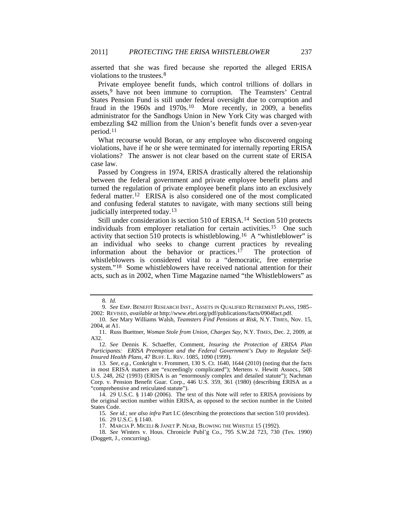asserted that she was fired because she reported the alleged ERISA violations to the trustees.[8](#page-3-0)

Private employee benefit funds, which control trillions of dollars in assets,<sup>[9](#page-3-1)</sup> have not been immune to corruption. The Teamsters' Central States Pension Fund is still under federal oversight due to corruption and fraud in the 1960s and 1970s.<sup>10</sup> More recently, in 2009, a benefits administrator for the Sandhogs Union in New York City was charged with embezzling \$42 million from the Union's benefit funds over a seven-year period.[11](#page-3-3)

What recourse would Boran, or any employee who discovered ongoing violations, have if he or she were terminated for internally reporting ERISA violations? The answer is not clear based on the current state of ERISA case law.

Passed by Congress in 1974, ERISA drastically altered the relationship between the federal government and private employee benefit plans and turned the regulation of private employee benefit plans into an exclusively federal matter.[12](#page-3-4) ERISA is also considered one of the most complicated and confusing federal statutes to navigate, with many sections still being judicially interpreted today.[13](#page-3-5)

Still under consideration is section 510 of ERISA.<sup>14</sup> Section 510 protects individuals from employer retaliation for certain activities.[15](#page-3-7) One such activity that section 510 protects is whistleblowing.<sup>16</sup> A "whistleblower" is an individual who seeks to change current practices by revealing information about the behavior or practices.[17](#page-3-9) The protection of whistleblowers is considered vital to a "democratic, free enterprise system."[18](#page-3-10) Some whistleblowers have received national attention for their acts, such as in 2002, when Time Magazine named "the Whistleblowers" as

<span id="page-3-11"></span><sup>8</sup>*. Id.*

<span id="page-3-1"></span><span id="page-3-0"></span><sup>9</sup>*. See* EMP. BENEFIT RESEARCH INST., ASSETS IN QUALIFIED RETIREMENT PLANS, 1985– 2002: REVISED, *available at* http://www.ebri.org/pdf/publications/facts/0904fact.pdf.

<span id="page-3-2"></span><sup>10</sup>*. See* Mary Williams Walsh, *Teamsters Find Pensions at Risk*, N.Y. TIMES, Nov. 15, 2004, at A1.

<span id="page-3-3"></span><sup>11.</sup> Russ Buettner, *Woman Stole from Union, Charges Say*, N.Y. TIMES, Dec. 2, 2009, at A32.

<span id="page-3-4"></span><sup>12</sup>*. See* Dennis K. Schaeffer, Comment, *Insuring the Protection of ERISA Plan Participants: ERISA Preemption and the Federal Government's Duty to Regulate Self-Insured Health Plans*, 47 BUFF. L. REV. 1085, 1090 (1999).

<span id="page-3-5"></span><sup>13</sup>*. See, e.g.*, Conkright v. Frommert, 130 S. Ct. 1640, 1644 (2010) (noting that the facts in most ERISA matters are "exceedingly complicated"); Mertens v. Hewitt Assocs., 508 U.S. 248, 262 (1993) (ERISA is an "enormously complex and detailed statute"); Nachman Corp. v. Pension Benefit Guar. Corp., 446 U.S. 359, 361 (1980) (describing ERISA as a "comprehensive and reticulated statute").

<span id="page-3-7"></span><span id="page-3-6"></span><sup>14.</sup> 29 U.S.C. § 1140 (2006). The text of this Note will refer to ERISA provisions by the original section number within ERISA, as opposed to the section number in the United States Code.

<sup>15</sup>*. See id.*; *see also infra* Part I.C (describing the protections that section 510 provides).

<sup>16.</sup> 29 U.S.C. § 1140.

<sup>17.</sup> MARCIA P. MICELI & JANET P. NEAR, BLOWING THE WHISTLE 15 (1992).

<span id="page-3-10"></span><span id="page-3-9"></span><span id="page-3-8"></span><sup>18</sup>*. See* Winters v. Hous. Chronicle Publ'g Co., 795 S.W.2d 723, 730 (Tex. 1990) (Doggett, J., concurring).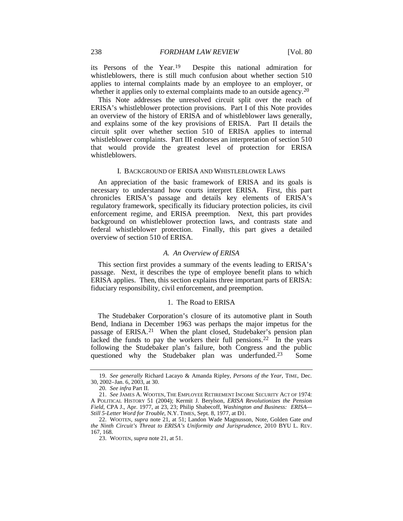its Persons of the Year.[19](#page-4-1) Despite this national admiration for whistleblowers, there is still much confusion about whether section 510 applies to internal complaints made by an employee to an employer, or whether it applies only to external complaints made to an outside agency.<sup>[20](#page-4-2)</sup>

This Note addresses the unresolved circuit split over the reach of ERISA's whistleblower protection provisions. Part I of this Note provides an overview of the history of ERISA and of whistleblower laws generally, and explains some of the key provisions of ERISA. Part II details the circuit split over whether section 510 of ERISA applies to internal whistleblower complaints. Part III endorses an interpretation of section 510 that would provide the greatest level of protection for ERISA whistleblowers.

#### I. BACKGROUND OF ERISA AND WHISTLEBLOWER LAWS

An appreciation of the basic framework of ERISA and its goals is necessary to understand how courts interpret ERISA. First, this part chronicles ERISA's passage and details key elements of ERISA's regulatory framework, specifically its fiduciary protection policies, its civil enforcement regime, and ERISA preemption. Next, this part provides background on whistleblower protection laws, and contrasts state and federal whistleblower protection. Finally, this part gives a detailed overview of section 510 of ERISA.

#### *A. An Overview of ERISA*

This section first provides a summary of the events leading to ERISA's passage. Next, it describes the type of employee benefit plans to which ERISA applies. Then, this section explains three important parts of ERISA: fiduciary responsibility, civil enforcement, and preemption.

#### 1. The Road to ERISA

<span id="page-4-0"></span>The Studebaker Corporation's closure of its automotive plant in South Bend, Indiana in December 1963 was perhaps the major impetus for the passage of ERISA.[21](#page-4-3) When the plant closed, Studebaker's pension plan lacked the funds to pay the workers their full pensions.<sup>[22](#page-4-4)</sup> In the years following the Studebaker plan's failure, both Congress and the public questioned why the Studebaker plan was underfunded.[23](#page-4-5) Some

<span id="page-4-1"></span><sup>19.</sup> *See generally* Richard Lacayo & Amanda Ripley, *Persons of the Year*, TIME, Dec. 30, 2002–Jan. 6, 2003, at 30.

<sup>20</sup>*. See infra* Part II.

<span id="page-4-3"></span><span id="page-4-2"></span><sup>21.</sup> *See* JAMES A. WOOTEN, THE EMPLOYEE RETIREMENT INCOME SECURITY ACT OF 1974: A POLITICAL HISTORY 51 (2004); Kermit J. Berylson, *ERISA Revolutionizes the Pension Field*, CPA J., Apr. 1977, at 23, 23; Philip Shabecoff, *Washington and Business: ERISA— Still 5-Letter Word for Trouble*, N.Y. TIMES, Sept. 8, 1977, at D1.

<span id="page-4-5"></span><span id="page-4-4"></span><sup>22.</sup> WOOTEN, *supra* note [21,](#page-4-0) at 51; Landon Wade Magnusson, Note, Golden Gate *and the Ninth Circuit's Threat to ERISA's Uniformity and Jurisprudence*, 2010 BYU L. REV. 167, 168.

<sup>23.</sup> WOOTEN, *supra* not[e 21,](#page-4-0) at 51.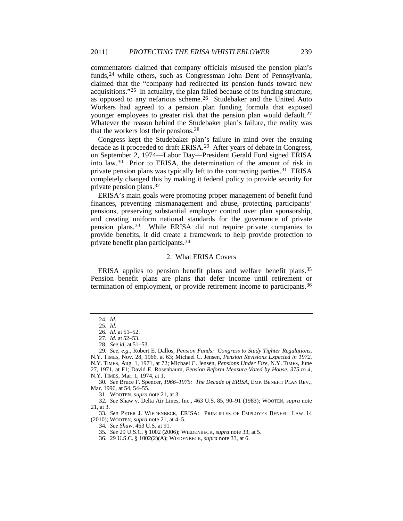commentators claimed that company officials misused the pension plan's funds,<sup>[24](#page-5-1)</sup> while others, such as Congressman John Dent of Pennsylvania, claimed that the "company had redirected its pension funds toward new acquisitions."[25](#page-5-2) In actuality, the plan failed because of its funding structure, as opposed to any nefarious scheme.<sup>[26](#page-5-3)</sup> Studebaker and the United Auto Workers had agreed to a pension plan funding formula that exposed younger employees to greater risk that the pension plan would default.<sup>[27](#page-5-4)</sup> Whatever the reason behind the Studebaker plan's failure, the reality was that the workers lost their pensions.[28](#page-5-5)

Congress kept the Studebaker plan's failure in mind over the ensuing decade as it proceeded to draft ERISA.[29](#page-5-6) After years of debate in Congress, on September 2, 1974—Labor Day—President Gerald Ford signed ERISA into law.[30](#page-5-7) Prior to ERISA, the determination of the amount of risk in private pension plans was typically left to the contracting parties.<sup>[31](#page-5-8)</sup> ERISA completely changed this by making it federal policy to provide security for private pension plans.[32](#page-5-9)

<span id="page-5-15"></span>ERISA's main goals were promoting proper management of benefit fund finances, preventing mismanagement and abuse, protecting participants' pensions, preserving substantial employer control over plan sponsorship, and creating uniform national standards for the governance of private pension plans.[33](#page-5-10) While ERISA did not require private companies to provide benefits, it did create a framework to help provide protection to private benefit plan participants.[34](#page-5-11)

#### <span id="page-5-17"></span><span id="page-5-16"></span><span id="page-5-14"></span><span id="page-5-0"></span>2. What ERISA Covers

ERISA applies to pension benefit plans and welfare benefit plans.[35](#page-5-12) Pension benefit plans are plans that defer income until retirement or termination of employment, or provide retirement income to participants.<sup>[36](#page-5-13)</sup>

<span id="page-5-9"></span>32*. See* Shaw v. Delta Air Lines, Inc., 463 U.S. 85, 90–91 (1983); WOOTEN, *supra* note [21,](#page-4-0) at 3.

<span id="page-5-13"></span><span id="page-5-12"></span><span id="page-5-11"></span><span id="page-5-10"></span>33*. See* PETER J. WIEDENBECK, ERISA: PRINCIPLES OF EMPLOYEE BENEFIT LAW 14 (2010); WOOTEN, *supra* note [21,](#page-4-0) at 4–5.

<sup>24</sup>*. Id.*

<sup>25</sup>*. Id.*

<sup>26</sup>*. Id.* at 51–52.

<sup>27</sup>*. Id.* at 52–53.

<sup>28</sup>*. See id.* at 51–53.

<span id="page-5-6"></span><span id="page-5-5"></span><span id="page-5-4"></span><span id="page-5-3"></span><span id="page-5-2"></span><span id="page-5-1"></span><sup>29</sup>*. See, e.g.*, Robert E. Dallos, *Pension Funds: Congress to Study Tighter Regulations*, N.Y. TIMES, Nov. 28, 1966, at 63; Michael C. Jensen, *Pension Revisions Expected in 1972*, N.Y. TIMES, Aug. 1, 1971, at 72; Michael C. Jensen, *Pensions Under Fire*, N.Y. TIMES, June 27, 1971, at F1; David E. Rosenbaum, *Pension Reform Measure Voted by House, 375 to 4*, N.Y. TIMES, Mar. 1, 1974, at 1.

<span id="page-5-8"></span><span id="page-5-7"></span><sup>30</sup>*. See* Bruce F. Spencer, *1966–1975: The Decade of ERISA*, EMP. BENEFIT PLAN REV., Mar. 1996, at 54, 54–55.

<sup>31.</sup> WOOTEN, *supra* not[e 21,](#page-4-0) at 3.

<sup>34</sup>*. See Shaw*, 463 U.S. at 91.

<sup>35</sup>*. See* 29 U.S.C. § 1002 (2006); WIEDENBECK, *supra* not[e 33,](#page-5-0) at 5.

<sup>36.</sup> 29 U.S.C. § 1002(2)(A); WIEDENBECK, *supra* not[e 33,](#page-5-0) at 6.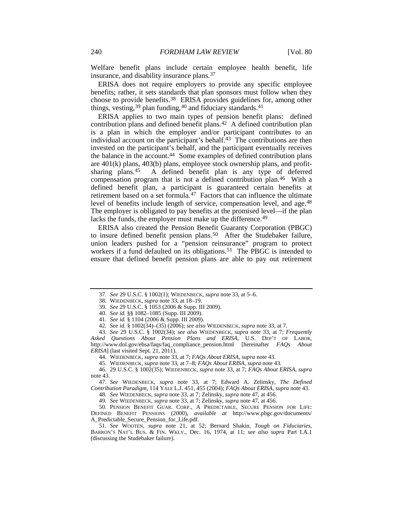Welfare benefit plans include certain employee health benefit, life insurance, and disability insurance plans[.37](#page-6-2)

ERISA does not require employers to provide any specific employee benefits; rather, it sets standards that plan sponsors must follow when they choose to provide benefits.[38](#page-6-3) ERISA provides guidelines for, among other things, vesting,  $39$  plan funding,  $40$  and fiduciary standards.  $41$ 

<span id="page-6-0"></span>ERISA applies to two main types of pension benefit plans: defined contribution plans and defined benefit plans.[42](#page-6-7) A defined contribution plan is a plan in which the employer and/or participant contributes to an individual account on the participant's behalf. $43$  The contributions are then invested on the participant's behalf, and the participant eventually receives the balance in the account.<sup>44</sup> Some examples of defined contribution plans are 401(k) plans, 403(b) plans, employee stock ownership plans, and profitsharing plans.[45](#page-6-10) A defined benefit plan is any type of deferred compensation program that is not a defined contribution plan.[46](#page-6-11) With a defined benefit plan, a participant is guaranteed certain benefits at retirement based on a set formula.<sup>[47](#page-6-12)</sup> Factors that can influence the ultimate level of benefits include length of service, compensation level, and age.<sup>[48](#page-6-13)</sup> The employer is obligated to pay benefits at the promised level—if the plan lacks the funds, the employer must make up the difference.<sup>[49](#page-6-14)</sup>

<span id="page-6-17"></span><span id="page-6-1"></span>ERISA also created the Pension Benefit Guaranty Corporation (PBGC) to insure defined benefit pension plans.<sup>[50](#page-6-15)</sup> After the Studebaker failure, union leaders pushed for a "pension reinsurance" program to protect workers if a fund defaulted on its obligations.<sup>[51](#page-6-16)</sup> The PBGC is intended to ensure that defined benefit pension plans are able to pay out retirement

<span id="page-6-8"></span><span id="page-6-7"></span><span id="page-6-6"></span><span id="page-6-5"></span><span id="page-6-4"></span><span id="page-6-3"></span><span id="page-6-2"></span>43. *See* 29 U.S.C. § 1002(34); *see also* WIEDENBECK, *supra* note [33,](#page-5-0) at 7; *Frequently Asked Questions About Pension Plans and ERISA*, U.S. DEP'T OF LABOR, http://www.dol.gov/ebsa/faqs/faq\_compliance\_pension.html [hereinafter *FAQs About ERISA*] (last visited Sept. 21, 2011).

44. WIEDENBECK, *supra* not[e 33,](#page-5-0) at 7; *FAQs About ERISA*, *supra* not[e 43.](#page-6-0)

<span id="page-6-11"></span><span id="page-6-10"></span><span id="page-6-9"></span>46. 29 U.S.C. § 1002(35); WIEDENBECK, *supra* not[e 33,](#page-5-0) at 7; *FAQs About ERISA*, *supra* not[e 43.](#page-6-0)

<span id="page-6-13"></span><span id="page-6-12"></span>47. *See* WIEDENBECK, *supra* note [33,](#page-5-0) at 7; Edward A. Zelinsky, *The Defined Contribution Paradigm*, 114 YALE L.J. 451, 455 (2004); *FAQs About ERISA*, *supra* note [43.](#page-6-0)

48. *See* WIEDENBECK, *supra* note [33,](#page-5-0) at 7; Zelinsky, *supra* note [47,](#page-6-1) at 456.

49. *See* WIEDENBECK, *supra* note [33,](#page-5-0) at 7; Zelinsky, *supra* note [47,](#page-6-1) at 456.

<span id="page-6-15"></span><span id="page-6-14"></span>50. PENSION BENEFIT GUAR. CORP., A PREDICTABLE, SECURE PENSION FOR LIFE: DEFINED BENEFIT PENSIONS (2000), *available at* http://www.pbgc.gov/documents/ A\_Predictable\_Secure\_Pension\_for\_Life.pdf.

<span id="page-6-16"></span>51*. See* WOOTEN, *supra* note [21,](#page-4-0) at 52; Bernard Shakin, *Tough on Fiduciaries*, BARRON'S NAT'L BUS. & FIN. WKLY., Dec. 16, 1974, at 11; *see also supra* Part I.A.1 (discussing the Studebaker failure).

<sup>37</sup>*. See* 29 U.S.C. § 1002(1); WIEDENBECK, *supra* note [33,](#page-5-0) at 5–6.

<sup>38.</sup> WIEDENBECK, *supra* not[e 33,](#page-5-0) at 18–19.

<sup>39.</sup> *See* 29 U.S.C. § 1053 (2006 & Supp. III 2009).

<sup>40.</sup> *See id.* §§ 1082–1085 (Supp. III 2009).

<sup>41.</sup> *See id.* § 1104 (2006 & Supp. III 2009).

<sup>42.</sup> *See id.* § 1002(34)–(35) (2006); *see also* WIEDENBECK, *supra* not[e 33,](#page-5-0) at 7.

<sup>45.</sup> WIEDENBECK, *supra* not[e 33,](#page-5-0) at 7–8; *FAQs About ERISA*, *supra* not[e 43.](#page-6-0)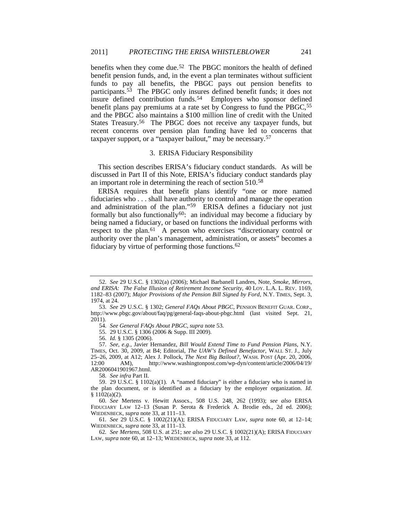<span id="page-7-0"></span>benefits when they come due.[52](#page-7-2) The PBGC monitors the health of defined benefit pension funds, and, in the event a plan terminates without sufficient funds to pay all benefits, the PBGC pays out pension benefits to participants.<sup>53</sup> The PBGC only insures defined benefit funds; it does not insure defined contribution funds.<sup>[54](#page-7-4)</sup> Employers who sponsor defined benefit plans pay premiums at a rate set by Congress to fund the PBGC,<sup>[55](#page-7-5)</sup> and the PBGC also maintains a \$100 million line of credit with the United States Treasury.[56](#page-7-6) The PBGC does not receive any taxpayer funds, but recent concerns over pension plan funding have led to concerns that taxpayer support, or a "taxpayer bailout," may be necessary.[57](#page-7-7)

#### <span id="page-7-13"></span><span id="page-7-1"></span>3. ERISA Fiduciary Responsibility

This section describes ERISA's fiduciary conduct standards. As will be discussed in Part II of this Note, ERISA's fiduciary conduct standards play an important role in determining the reach of section 510.[58](#page-7-8)

ERISA requires that benefit plans identify "one or more named fiduciaries who . . . shall have authority to control and manage the operation and administration of the plan."[59](#page-7-9) ERISA defines a fiduciary not just formally but also functionally<sup>60</sup>: an individual may become a fiduciary by being named a fiduciary, or based on functions the individual performs with respect to the plan.[61](#page-7-11) A person who exercises "discretionary control or authority over the plan's management, administration, or assets" becomes a fiduciary by virtue of performing those functions.[62](#page-7-12)

58*. See infra* Part II.

<span id="page-7-2"></span><sup>52</sup>*. See* 29 U.S.C. § 1302(a) (2006); Michael Barbanell Landres, Note, *Smoke, Mirrors, and ERISA: The False Illusion of Retirement Income Security*, 40 LOY. L.A. L. REV. 1169, 1182–83 (2007); *Major Provisions of the Pension Bill Signed by Ford*, N.Y. TIMES, Sept. 3, 1974, at 24.

<span id="page-7-3"></span><sup>53</sup>*. See* 29 U.S.C. § 1302; *General FAQs About PBGC*, PENSION BENEFIT GUAR. CORP., http://www.pbgc.gov/about/faq/pg/general-faqs-about-pbgc.html (last visited Sept. 21, 2011).

<sup>54</sup>*. See General FAQs About PBGC*, *supra* note [53.](#page-7-0)

<sup>55.</sup> 29 U.S.C. § 1306 (2006 & Supp. III 2009).

<sup>56</sup>*. Id.* § 1305 (2006).

<span id="page-7-7"></span><span id="page-7-6"></span><span id="page-7-5"></span><span id="page-7-4"></span><sup>57</sup>*. See, e.g.*, Javier Hernandez, *Bill Would Extend Time to Fund Pension Plans*, N.Y. TIMES, Oct. 30, 2009, at B4; Editorial, *The UAW's Defined Benefactor*, WALL ST. J., July 25–26, 2009, at A12; Alex J. Pollock, *The Next Big Bailout?*, WASH. POST (Apr. 20, 2006, 12:00 AM), http://www.washingtonpost.com/wp-dyn/content/article/2006/04/19/ AR2006041901967.html.

<span id="page-7-9"></span><span id="page-7-8"></span><sup>59.</sup> 29 U.S.C. § 1102(a)(1). A "named fiduciary" is either a fiduciary who is named in the plan document, or is identified as a fiduciary by the employer organization. *Id.* § 1102(a)(2).

<span id="page-7-10"></span><sup>60</sup>*. See* Mertens v. Hewitt Assocs., 508 U.S. 248, 262 (1993); *see also* ERISA FIDUCIARY LAW 12–13 (Susan P. Serota & Frederick A. Brodie eds., 2d ed. 2006); WIEDENBECK, *supra* note [33,](#page-5-0) at 111–13.

<sup>61</sup>*. See* 29 U.S.C. § 1002(21)(A); ERISA FIDUCIARY LAW, *supra* note [60,](#page-7-1) at 12–14; WIEDENBECK, *supra* note [33,](#page-5-0) at 111–13.

<span id="page-7-12"></span><span id="page-7-11"></span><sup>62</sup>*. See Mertens*, 508 U.S. at 251; *see also* 29 U.S.C. § 1002(21)(A); ERISA FIDUCIARY LAW, *supra* not[e 60,](#page-7-1) at 12–13; WIEDENBECK, *supra* note [33,](#page-5-0) at 112.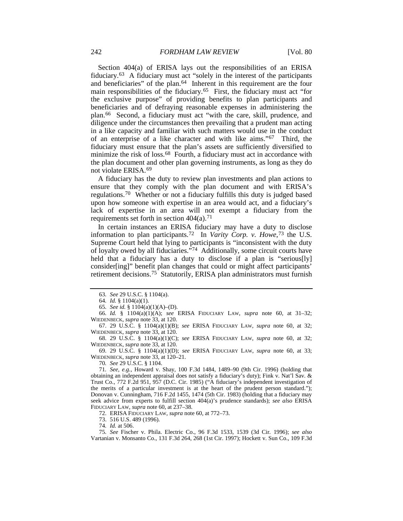<span id="page-8-13"></span>Section 404(a) of ERISA lays out the responsibilities of an ERISA fiduciary.[63](#page-8-0) A fiduciary must act "solely in the interest of the participants and beneficiaries" of the plan[.64](#page-8-1) Inherent in this requirement are the four main responsibilities of the fiduciary.[65](#page-8-2) First, the fiduciary must act "for the exclusive purpose" of providing benefits to plan participants and beneficiaries and of defraying reasonable expenses in administering the plan.[66](#page-8-3) Second, a fiduciary must act "with the care, skill, prudence, and diligence under the circumstances then prevailing that a prudent man acting in a like capacity and familiar with such matters would use in the conduct of an enterprise of a like character and with like aims."[67](#page-8-4) Third, the fiduciary must ensure that the plan's assets are sufficiently diversified to minimize the risk of loss.<sup>[68](#page-8-5)</sup> Fourth, a fiduciary must act in accordance with the plan document and other plan governing instruments, as long as they do not violate ERISA.[69](#page-8-6)

<span id="page-8-14"></span>A fiduciary has the duty to review plan investments and plan actions to ensure that they comply with the plan document and with ERISA's regulations.[70](#page-8-7) Whether or not a fiduciary fulfills this duty is judged based upon how someone with expertise in an area would act, and a fiduciary's lack of expertise in an area will not exempt a fiduciary from the requirements set forth in section  $404(a)$ .<sup>[71](#page-8-8)</sup>

<span id="page-8-15"></span>In certain instances an ERISA fiduciary may have a duty to disclose information to plan participants.[72](#page-8-9) In *Varity Corp. v. Howe*,[73](#page-8-10) the U.S. Supreme Court held that lying to participants is "inconsistent with the duty of loyalty owed by all fiduciaries."[74](#page-8-11) Additionally, some circuit courts have held that a fiduciary has a duty to disclose if a plan is "serious<sup>[1y]</sup> consider[ing]" benefit plan changes that could or might affect participants' retirement decisions.<sup>[75](#page-8-12)</sup> Statutorily, ERISA plan administrators must furnish

<span id="page-8-3"></span><span id="page-8-2"></span><span id="page-8-1"></span><span id="page-8-0"></span>66*. Id.* § 1104(a)(1)(A); *see* ERISA FIDUCIARY LAW, *supra* note [60,](#page-7-1) at 31–32; WIEDENBECK, *supra* note [33,](#page-5-0) at 120.

<span id="page-8-4"></span>67. 29 U.S.C. § 1104(a)(1)(B); *see* ERISA FIDUCIARY LAW, *supra* note [60,](#page-7-1) at 32; WIEDENBECK, *supra* note [33,](#page-5-0) at 120.

<span id="page-8-5"></span>68. 29 U.S.C. § 1104(a)(1)(C); *see* ERISA FIDUCIARY LAW, *supra* note [60,](#page-7-1) at 32; WIEDENBECK, *supra* note [33,](#page-5-0) at 120.

<span id="page-8-6"></span>69. 29 U.S.C. § 1104(a)(1)(D); *see* ERISA FIDUCIARY LAW, *supra* note [60,](#page-7-1) at 33; WIEDENBECK, *supra* note [33,](#page-5-0) at 120–21.

70*. See* 29 U.S.C. § 1104.

<span id="page-8-8"></span><span id="page-8-7"></span>71*. See, e.g.*, Howard v. Shay, 100 F.3d 1484, 1489–90 (9th Cir. 1996) (holding that obtaining an independent appraisal does not satisfy a fiduciary's duty); Fink v. Nat'l Sav. & Trust Co., 772 F.2d 951, 957 (D.C. Cir. 1985) ("A fiduciary's independent investigation of the merits of a particular investment is at the heart of the prudent person standard."); Donovan v. Cunningham, 716 F.2d 1455, 1474 (5th Cir. 1983) (holding that a fiduciary may seek advice from experts to fulfill section 404(a)'s prudence standards); *see also* ERISA FIDUCIARY LAW, *supra* note [60,](#page-7-1) at 237–38.

72. ERISA FIDUCIARY LAW, *supra* note [60,](#page-7-1) at 772–73.

73. 516 U.S. 489 (1996).

74*. Id.* at 506.

<span id="page-8-12"></span><span id="page-8-11"></span><span id="page-8-10"></span><span id="page-8-9"></span>75*. See* Fischer v. Phila. Electric Co., 96 F.3d 1533, 1539 (3d Cir. 1996); *see also* Vartanian v. Monsanto Co., 131 F.3d 264, 268 (1st Cir. 1997); Hockett v. Sun Co., 109 F.3d

<span id="page-8-16"></span><sup>63</sup>*. See* 29 U.S.C. § 1104(a).

<sup>64</sup>*. Id.* § 1104(a)(1).

<sup>65</sup>*. See id.* § 1104(a)(1)(A)–(D).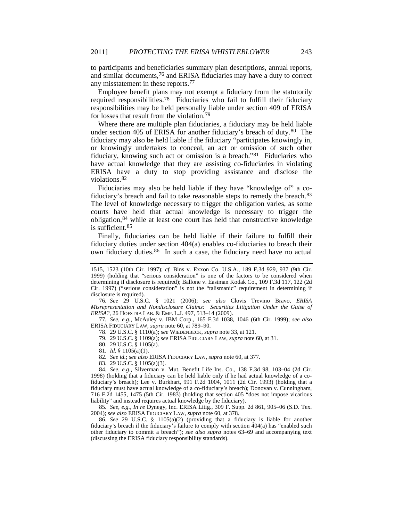to participants and beneficiaries summary plan descriptions, annual reports, and similar documents[,76](#page-9-0) and ERISA fiduciaries may have a duty to correct any misstatement in these reports.[77](#page-9-1)

<span id="page-9-13"></span>Employee benefit plans may not exempt a fiduciary from the statutorily required responsibilities.[78](#page-9-2) Fiduciaries who fail to fulfill their fiduciary responsibilities may be held personally liable under section 409 of ERISA for losses that result from the violation.[79](#page-9-3)

<span id="page-9-12"></span><span id="page-9-11"></span>Where there are multiple plan fiduciaries, a fiduciary may be held liable under section 405 of ERISA for another fiduciary's breach of duty.[80](#page-9-4) The fiduciary may also be held liable if the fiduciary "participates knowingly in, or knowingly undertakes to conceal, an act or omission of such other fiduciary, knowing such act or omission is a breach."[81](#page-9-5) Fiduciaries who have actual knowledge that they are assisting co-fiduciaries in violating ERISA have a duty to stop providing assistance and disclose the violations.[82](#page-9-6)

Fiduciaries may also be held liable if they have "knowledge of" a cofiduciary's breach and fail to take reasonable steps to remedy the breach.[83](#page-9-7) The level of knowledge necessary to trigger the obligation varies, as some courts have held that actual knowledge is necessary to trigger the obligation,[84](#page-9-8) while at least one court has held that constructive knowledge is sufficient.[85](#page-9-9)

Finally, fiduciaries can be held liable if their failure to fulfill their fiduciary duties under section 404(a) enables co-fiduciaries to breach their own fiduciary duties.<sup>[86](#page-9-10)</sup> In such a case, the fiduciary need have no actual

<span id="page-9-0"></span>76*. See* 29 U.S.C. § 1021 (2006); *see also* Clovis Trevino Bravo, *ERISA Misrepresentation and Nondisclosure Claims: Securities Litigation Under the Guise of ERISA?*, 26 HOFSTRA LAB. & EMP. L.J. 497, 513–14 (2009).

<span id="page-9-4"></span><span id="page-9-3"></span><span id="page-9-2"></span><span id="page-9-1"></span>77*. See, e.g.*, McAuley v. IBM Corp., 165 F.3d 1038, 1046 (6th Cir. 1999); *see also* ERISA FIDUCIARY LAW, *supra* note [60,](#page-7-1) at 789–90.

78. 29 U.S.C. § 1110(a); *see* WIEDENBECK, *supra* not[e 33,](#page-5-0) at 121.

79. 29 U.S.C. § 1109(a); *see* ERISA FIDUCIARY LAW, *supra* note [60,](#page-7-1) at 31.

80. 29 U.S.C. § 1105(a).

81*. Id.* § 1105(a)(1).

82*. See id.*; *see also* ERISA FIDUCIARY LAW, *supra* not[e 60,](#page-7-1) at 377.

83. 29 U.S.C. § 1105(a)(3).

<span id="page-9-9"></span>85*. See, e.g.*, *In re* Dynegy, Inc. ERISA Litig., 309 F. Supp. 2d 861, 905–06 (S.D. Tex. 2004); *see also* ERISA FIDUCIARY LAW, *supra* not[e 60,](#page-7-1) at 378.

<span id="page-9-10"></span>86. *See* 29 U.S.C. § 1105(a)(2) (providing that a fiduciary is liable for another fiduciary's breach if the fiduciary's failure to comply with section 404(a) has "enabled such other fiduciary to commit a breach"); *see also supra* notes [63](#page-8-13)[–69](#page-8-14) and accompanying text (discussing the ERISA fiduciary responsibility standards).

<sup>1515, 1523 (10</sup>th Cir. 1997); *cf.* Bins v. Exxon Co. U.S.A., 189 F.3d 929, 937 (9th Cir. 1999) (holding that "serious consideration" is one of the factors to be considered when determining if disclosure is required); Ballone v. Eastman Kodak Co., 109 F.3d 117, 122 (2d Cir. 1997) ("serious consideration" is not the "talismanic" requirement in determining if disclosure is required).

<span id="page-9-8"></span><span id="page-9-7"></span><span id="page-9-6"></span><span id="page-9-5"></span><sup>84</sup>*. See, e.g.*, Silverman v. Mut. Benefit Life Ins. Co., 138 F.3d 98, 103–04 (2d Cir. 1998) (holding that a fiduciary can be held liable only if he had actual knowledge of a cofiduciary's breach); Lee v. Burkhart, 991 F.2d 1004, 1011 (2d Cir. 1993) (holding that a fiduciary must have actual knowledge of a co-fiduciary's breach); Donovan v. Cunningham, 716 F.2d 1455, 1475 (5th Cir. 1983) (holding that section 405 "does not impose vicarious liability" and instead requires actual knowledge by the fiduciary).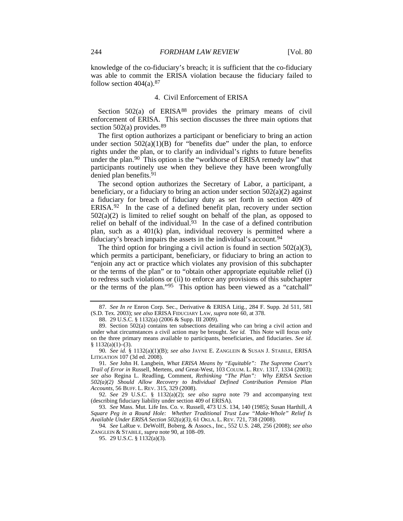knowledge of the co-fiduciary's breach; it is sufficient that the co-fiduciary was able to commit the ERISA violation because the fiduciary failed to follow section  $404(a).$ <sup>[87](#page-10-1)</sup>

#### <span id="page-10-11"></span>4. Civil Enforcement of ERISA

Section  $502(a)$  of ERISA<sup>[88](#page-10-2)</sup> provides the primary means of civil enforcement of ERISA. This section discusses the three main options that section  $502(a)$  provides.<sup>[89](#page-10-3)</sup>

<span id="page-10-0"></span>The first option authorizes a participant or beneficiary to bring an action under section  $502(a)(1)(B)$  for "benefits due" under the plan, to enforce rights under the plan, or to clarify an individual's rights to future benefits under the plan.<sup>[90](#page-10-4)</sup> This option is the "workhorse of ERISA remedy law" that participants routinely use when they believe they have been wrongfully denied plan benefits.[91](#page-10-5)

<span id="page-10-10"></span>The second option authorizes the Secretary of Labor, a participant, a beneficiary, or a fiduciary to bring an action under section  $502(a)(2)$  against a fiduciary for breach of fiduciary duty as set forth in section 409 of ERISA. $92$  In the case of a defined benefit plan, recovery under section  $502(a)(2)$  is limited to relief sought on behalf of the plan, as opposed to relief on behalf of the individual. $93$  In the case of a defined contribution plan, such as a 401(k) plan, individual recovery is permitted where a fiduciary's breach impairs the assets in the individual's account.[94](#page-10-8)

The third option for bringing a civil action is found in section  $502(a)(3)$ , which permits a participant, beneficiary, or fiduciary to bring an action to "enjoin any act or practice which violates any provision of this subchapter or the terms of the plan" or to "obtain other appropriate equitable relief (i) to redress such violations or (ii) to enforce any provisions of this subchapter or the terms of the plan."[95](#page-10-9) This option has been viewed as a "catchall"

<span id="page-10-7"></span>93*. See* Mass. Mut. Life Ins. Co. v. Russell, 473 U.S. 134, 140 (1985); Susan Harthill, *A Square Peg in a Round Hole: Whether Traditional Trust Law "Make-Whole" Relief Is Available Under ERISA Section 502(a)(3)*, 61 OKLA. L. REV. 721, 738 (2008).

<span id="page-10-9"></span><span id="page-10-8"></span>94*. See* LaRue v. DeWolff, Boberg, & Assocs., Inc., 552 U.S. 248, 256 (2008); *see also* ZANGLEIN & STABILE, *supra* note [90,](#page-10-0) at 108–09.

<span id="page-10-12"></span><span id="page-10-1"></span><sup>87</sup>*. See In re* Enron Corp. Sec., Derivative & ERISA Litig., 284 F. Supp. 2d 511, 581 (S.D. Tex. 2003); *see also* ERISA FIDUCIARY LAW, *supra* note [60,](#page-7-1) at 378.

<sup>88.</sup> 29 U.S.C. § 1132(a) (2006 & Supp. III 2009).

<span id="page-10-3"></span><span id="page-10-2"></span><sup>89.</sup> Section 502(a) contains ten subsections detailing who can bring a civil action and under what circumstances a civil action may be brought. *See id.* This Note will focus only on the three primary means available to participants, beneficiaries, and fiduciaries. *See id.*  $§ 1132(a)(1)–(3).$ 

<span id="page-10-4"></span><sup>90</sup>*. See id.* § 1132(a)(1)(B); *see also* JAYNE E. ZANGLEIN & SUSAN J. STABILE, ERISA LITIGATION 107 (3d ed. 2008).

<span id="page-10-5"></span><sup>91</sup>*. See* John H. Langbein, *What ERISA Means by "Equitable": The Supreme Court's Trail of Error in* Russell*,* Mertens*, and* Great-West, 103 COLUM. L. REV. 1317, 1334 (2003); *see also* Regina L. Readling, Comment, *Rethinking "The Plan": Why ERISA Section 502(a)(2) Should Allow Recovery to Individual Defined Contribution Pension Plan Accounts*, 56 BUFF. L. REV. 315, 329 (2008).

<span id="page-10-6"></span><sup>92</sup>*. See* 29 U.S.C. § 1132(a)(2); *see also supra* note [79](#page-9-11) and accompanying text (describing fiduciary liability under section 409 of ERISA).

<sup>95.</sup> 29 U.S.C. § 1132(a)(3).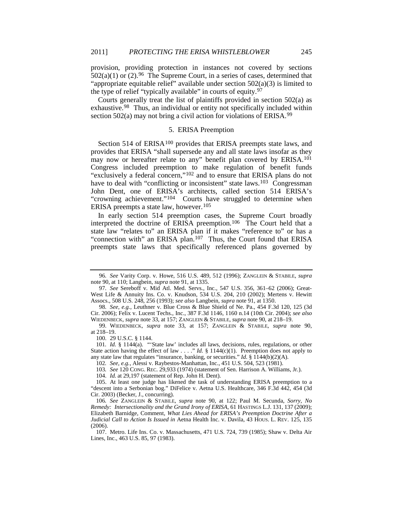provision, providing protection in instances not covered by sections  $502(a)(1)$  or  $(2)$ .<sup>96</sup> The Supreme Court, in a series of cases, determined that "appropriate equitable relief" available under section  $502(a)(3)$  is limited to the type of relief "typically available" in courts of equity.[97](#page-11-1)

<span id="page-11-15"></span>Courts generally treat the list of plaintiffs provided in section 502(a) as exhaustive.[98](#page-11-2) Thus, an individual or entity not specifically included within section 502(a) may not bring a civil action for violations of ERISA.<sup>[99](#page-11-3)</sup>

#### <span id="page-11-14"></span><span id="page-11-13"></span><span id="page-11-12"></span>5. ERISA Preemption

Section 514 of ERISA<sup>[100](#page-11-4)</sup> provides that ERISA preempts state laws, and provides that ERISA "shall supersede any and all state laws insofar as they may now or hereafter relate to any" benefit plan covered by ERISA.<sup>[101](#page-11-5)</sup> Congress included preemption to make regulation of benefit funds "exclusively a federal concern,["102](#page-11-6) and to ensure that ERISA plans do not have to deal with "conflicting or inconsistent" state laws.<sup>103</sup> Congressman John Dent, one of ERISA's architects, called section 514 ERISA's "crowning achievement."[104](#page-11-8) Courts have struggled to determine when ERISA preempts a state law, however.[105](#page-11-9)

In early section 514 preemption cases, the Supreme Court broadly interpreted the doctrine of ERISA preemption.[106](#page-11-10) The Court held that a state law "relates to" an ERISA plan if it makes "reference to" or has a "connection with" an ERISA plan.<sup>[107](#page-11-11)</sup> Thus, the Court found that ERISA preempts state laws that specifically referenced plans governed by

100. 29 U.S.C. § 1144.

102*. See, e.g.*, Alessi v. Raybestos-Manhattan, Inc., 451 U.S. 504, 523 (1981).

<span id="page-11-0"></span><sup>96</sup>*. See* Varity Corp. v. Howe, 516 U.S. 489, 512 (1996); ZANGLEIN & STABILE, *supra* note [90,](#page-10-0) at 110; Langbein, *supra* not[e 91,](#page-10-10) at 1335.

<span id="page-11-1"></span><sup>97</sup>*. See* Sereboff v. Mid Atl. Med. Servs., Inc., 547 U.S. 356, 361–62 (2006); Great-West Life & Annuity Ins. Co. v. Knudson, 534 U.S. 204, 210 (2002); Mertens v. Hewitt Assocs., 508 U.S. 248, 256 (1993); *see also* Langbein, *supra* not[e 91,](#page-10-10) at 1350.

<span id="page-11-2"></span><sup>98</sup>*. See, e.g.*, Leuthner v. Blue Cross & Blue Shield of Ne. Pa., 454 F.3d 120, 125 (3d Cir. 2006); Felix v. Lucent Techs., Inc., 387 F.3d 1146, 1160 n.14 (10th Cir. 2004); *see also* WIEDENBECK, *supra* note [33,](#page-5-0) at 157; ZANGLEIN & STABILE, *supra* not[e 90,](#page-10-0) at 218–19.

<span id="page-11-3"></span><sup>99.</sup> WIEDENBECK, *supra* note [33,](#page-5-0) at 157; ZANGLEIN & STABILE, *supra* note [90,](#page-10-0)  at 218–19.

<span id="page-11-5"></span><span id="page-11-4"></span><sup>101</sup>*. Id.* § 1144(a). "'State law' includes all laws, decisions, rules, regulations, or other State action having the effect of law  $\ldots$  " *Id.* § 1144(c)(1). Preemption does not apply to any state law that regulates "insurance, banking, or securities." *Id.* § 1144(b)(2)(A).

<sup>103</sup>*. See* 120 CONG. REC. 29,933 (1974) (statement of Sen. Harrison A. Williams, Jr.).

<sup>104.</sup> *Id.* at 29,197 (statement of Rep. John H. Dent).

<span id="page-11-9"></span><span id="page-11-8"></span><span id="page-11-7"></span><span id="page-11-6"></span><sup>105.</sup> At least one judge has likened the task of understanding ERISA preemption to a "descent into a Serbonian bog." DiFelice v. Aetna U.S. Healthcare, 346 F.3d 442, 454 (3d Cir. 2003) (Becker, J., concurring).

<span id="page-11-10"></span><sup>106</sup>*. See* ZANGLEIN & STABILE, *supra* note [90,](#page-10-0) at 122; Paul M. Secunda, *Sorry, No Remedy: Intersectionality and the Grand Irony of ERISA*, 61 HASTINGS L.J. 131, 137 (2009); Elizabeth Barnidge, Comment, *What Lies Ahead for ERISA's Preemption Doctrine After a Judicial Call to Action Is Issued in* Aetna Health Inc. v. Davila, 43 HOUS. L. REV. 125, 135 (2006).

<span id="page-11-11"></span><sup>107.</sup> Metro. Life Ins. Co. v. Massachusetts, 471 U.S. 724, 739 (1985); Shaw v. Delta Air Lines, Inc., 463 U.S. 85, 97 (1983).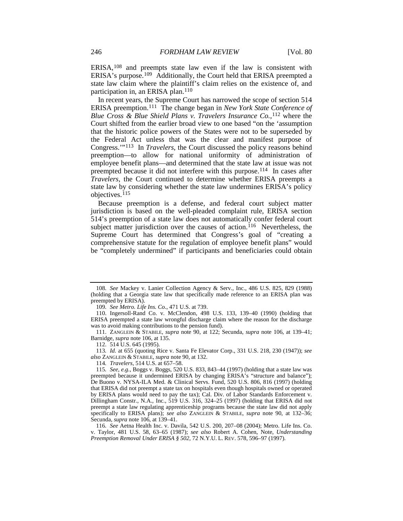ERISA,[108](#page-12-0) and preempts state law even if the law is consistent with ERISA's purpose.[109](#page-12-1) Additionally, the Court held that ERISA preempted a state law claim where the plaintiff's claim relies on the existence of, and participation in, an ERISA plan.[110](#page-12-2)

In recent years, the Supreme Court has narrowed the scope of section 514 ERISA preemption.[111](#page-12-3) The change began in *New York State Conference of Blue Cross & Blue Shield Plans v. Travelers Insurance Co.*,<sup>[112](#page-12-4)</sup> where the Court shifted from the earlier broad view to one based "on the 'assumption that the historic police powers of the States were not to be superseded by the Federal Act unless that was the clear and manifest purpose of Congress.'"[113](#page-12-5) In *Travelers*, the Court discussed the policy reasons behind preemption—to allow for national uniformity of administration of employee benefit plans—and determined that the state law at issue was not preempted because it did not interfere with this purpose.[114](#page-12-6) In cases after *Travelers*, the Court continued to determine whether ERISA preempts a state law by considering whether the state law undermines ERISA's policy objectives.[115](#page-12-7)

<span id="page-12-9"></span>Because preemption is a defense, and federal court subject matter jurisdiction is based on the well-pleaded complaint rule, ERISA section 514's preemption of a state law does not automatically confer federal court subject matter jurisdiction over the causes of action.<sup>[116](#page-12-8)</sup> Nevertheless, the Supreme Court has determined that Congress's goal of "creating a comprehensive statute for the regulation of employee benefit plans" would be "completely undermined" if participants and beneficiaries could obtain

<span id="page-12-3"></span>111. ZANGLEIN & STABILE, *supra* note [90,](#page-10-0) at 122; Secunda, *supra* note [106,](#page-11-12) at 139–41; Barnidge, *supra* note [106,](#page-11-12) at 135.

114*. Travelers*, 514 U.S. at 657–58.

<span id="page-12-0"></span><sup>108</sup>*. See* Mackey v. Lanier Collection Agency & Serv., Inc., 486 U.S. 825, 829 (1988) (holding that a Georgia state law that specifically made reference to an ERISA plan was preempted by ERISA).

<sup>109</sup>*. See Metro. Life Ins. Co.*, 471 U.S. at 739.

<span id="page-12-2"></span><span id="page-12-1"></span><sup>110.</sup> Ingersoll-Rand Co. v. McClendon, 498 U.S. 133, 139–40 (1990) (holding that ERISA preempted a state law wrongful discharge claim where the reason for the discharge was to avoid making contributions to the pension fund).

<sup>112.</sup> 514 U.S. 645 (1995).

<span id="page-12-5"></span><span id="page-12-4"></span><sup>113</sup>*. Id.* at 655 (quoting Rice v. Santa Fe Elevator Corp., 331 U.S. 218, 230 (1947)); *see also* ZANGLEIN & STABILE, *supra* not[e 90,](#page-10-0) at 132.

<span id="page-12-7"></span><span id="page-12-6"></span><sup>115</sup>*. See, e.g.*, Boggs v. Boggs, 520 U.S. 833, 843–44 (1997) (holding that a state law was preempted because it undermined ERISA by changing ERISA's "structure and balance"); De Buono v. NYSA-ILA Med. & Clinical Servs. Fund, 520 U.S. 806, 816 (1997) (holding that ERISA did not preempt a state tax on hospitals even though hospitals owned or operated by ERISA plans would need to pay the tax); Cal. Div. of Labor Standards Enforcement v. Dillingham Constr., N.A., Inc., 519 U.S. 316, 324–25 (1997) (holding that ERISA did not preempt a state law regulating apprenticeship programs because the state law did not apply specifically to ERISA plans); *see also* ZANGLEIN & STABILE, *supra* note [90,](#page-10-0) at 132–36; Secunda, *supra* not[e 106,](#page-11-12) at 139–41.

<span id="page-12-8"></span><sup>116</sup>*. See* Aetna Health Inc. v. Davila, 542 U.S. 200, 207–08 (2004); Metro. Life Ins. Co. v. Taylor, 481 U.S. 58, 63–65 (1987); *see also* Robert A. Cohen, Note, *Understanding Preemption Removal Under ERISA § 502*, 72 N.Y.U. L. REV. 578, 596–97 (1997).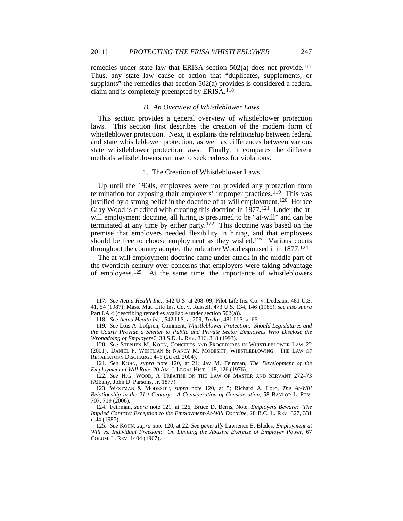remedies under state law that ERISA section  $502(a)$  does not provide.<sup>[117](#page-13-2)</sup> Thus, any state law cause of action that "duplicates, supplements, or supplants" the remedies that section 502(a) provides is considered a federal claim and is completely preempted by ERISA.[118](#page-13-3)

#### *B. An Overview of Whistleblower Laws*

This section provides a general overview of whistleblower protection laws. This section first describes the creation of the modern form of whistleblower protection. Next, it explains the relationship between federal and state whistleblower protection, as well as differences between various state whistleblower protection laws. Finally, it compares the different methods whistleblowers can use to seek redress for violations.

#### <span id="page-13-1"></span><span id="page-13-0"></span>1. The Creation of Whistleblower Laws

Up until the 1960s, employees were not provided any protection from termination for exposing their employers' improper practices.<sup>[119](#page-13-4)</sup> This was justified by a strong belief in the doctrine of at-will employment.[120](#page-13-5) Horace Gray Wood is credited with creating this doctrine in  $1877$ .<sup>121</sup> Under the atwill employment doctrine, all hiring is presumed to be "at-will" and can be terminated at any time by either party.<sup>[122](#page-13-7)</sup> This doctrine was based on the premise that employers needed flexibility in hiring, and that employees should be free to choose employment as they wished.<sup>[123](#page-13-8)</sup> Various courts throughout the country adopted the rule after Wood espoused it in 1877.[124](#page-13-9)

The at-will employment doctrine came under attack in the middle part of the twentieth century over concerns that employers were taking advantage of employees.<sup>[125](#page-13-10)</sup> At the same time, the importance of whistleblowers

<span id="page-13-7"></span>122*. See* H.G. WOOD, A TREATISE ON THE LAW OF MASTER AND SERVANT 272–73 (Albany, John D. Parsons, Jr. 1877).

<span id="page-13-2"></span><sup>117</sup>*. See Aetna Health Inc.*, 542 U.S. at 208–09; Pilot Life Ins. Co. v. Dedeaux, 481 U.S. 41, 54 (1987); Mass. Mut. Life Ins. Co. v. Russell, 473 U.S. 134, 146 (1985); *see also supra* Part I.A.4 (describing remedies available under section 502(a)).

<sup>118</sup>*. See Aetna Health Inc.*, 542 U.S. at 209; *Taylor*, 481 U.S. at 66.

<span id="page-13-4"></span><span id="page-13-3"></span><sup>119</sup>*. See* Lois A. Lofgren, Comment, *Whistleblower Protection: Should Legislatures and the Courts Provide a Shelter to Public and Private Sector Employees Who Disclose the Wrongdoing of Employers?*, 38 S.D. L. REV. 316, 318 (1993).

<span id="page-13-5"></span><sup>120</sup>*. See* STEPHEN M. KOHN, CONCEPTS AND PROCEDURES IN WHISTLEBLOWER LAW 22 (2001); DANIEL P. WESTMAN & NANCY M. MODESITT, WHISTLEBLOWING: THE LAW OF RETALIATORY DISCHARGE 4–5 (2d ed. 2004).

<span id="page-13-6"></span><sup>121</sup>*. See* KOHN, *supra* note [120,](#page-13-0) at 21; Jay M. Feinman, *The Development of the Employment at Will Rule*, 20 AM. J. LEGAL HIST. 118, 126 (1976).

<span id="page-13-8"></span><sup>123.</sup> WESTMAN & MODESITT, *supra* note [120,](#page-13-0) at 5; Richard A. Lord, *The At-Will Relationship in the 21st Century: A Consideration of Consideration*, 58 BAYLOR L. REV. 707, 719 (2006).

<span id="page-13-9"></span><sup>124.</sup> Feinman, *supra* note [121,](#page-13-1) at 126; Bruce D. Berns, Note, *Employers Beware: The Implied Contract Exception to the Employment-At-Will Doctrine*, 28 B.C. L. REV. 327, 331 n.44 (1987).

<span id="page-13-10"></span><sup>125</sup>*. See* KOHN, *supra* not[e 120,](#page-13-0) at 22. *See generally* Lawrence E. Blades, *Employment at Will vs. Individual Freedom: On Limiting the Abusive Exercise of Employer Power*, 67 COLUM. L. REV. 1404 (1967).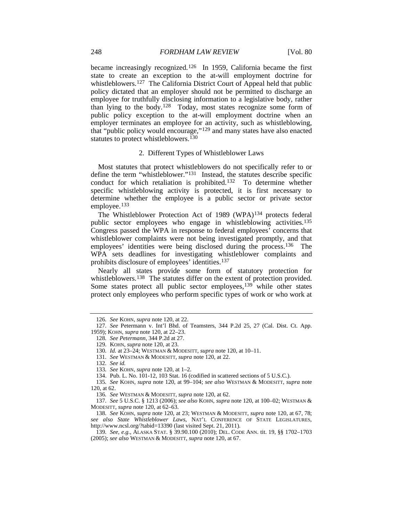became increasingly recognized.[126](#page-14-0) In 1959, California became the first state to create an exception to the at-will employment doctrine for whistleblowers.<sup>[127](#page-14-1)</sup> The California District Court of Appeal held that public policy dictated that an employer should not be permitted to discharge an employee for truthfully disclosing information to a legislative body, rather than lying to the body.[128](#page-14-2) Today, most states recognize some form of public policy exception to the at-will employment doctrine when an employer terminates an employee for an activity, such as whistleblowing, that "public policy would encourage,"[129](#page-14-3) and many states have also enacted statutes to protect whistleblowers.<sup>[130](#page-14-4)</sup>

#### 2. Different Types of Whistleblower Laws

Most statutes that protect whistleblowers do not specifically refer to or define the term "whistleblower."[131](#page-14-5) Instead, the statutes describe specific conduct for which retaliation is prohibited.[132](#page-14-6) To determine whether specific whistleblowing activity is protected, it is first necessary to determine whether the employee is a public sector or private sector employee.[133](#page-14-7)

The Whistleblower Protection Act of 1989 (WPA)[134](#page-14-8) protects federal public sector employees who engage in whistleblowing activities.[135](#page-14-9) Congress passed the WPA in response to federal employees' concerns that whistleblower complaints were not being investigated promptly, and that employees' identities were being disclosed during the process.<sup>136</sup> The WPA sets deadlines for investigating whistleblower complaints and prohibits disclosure of employees' identities.[137](#page-14-11)

<span id="page-14-14"></span>Nearly all states provide some form of statutory protection for whistleblowers.<sup>[138](#page-14-12)</sup> The statutes differ on the extent of protection provided. Some states protect all public sector employees,<sup>[139](#page-14-13)</sup> while other states protect only employees who perform specific types of work or who work at

<sup>126</sup>*. See* KOHN, *supra* note [120,](#page-13-0) at 22.

<span id="page-14-4"></span><span id="page-14-3"></span><span id="page-14-2"></span><span id="page-14-1"></span><span id="page-14-0"></span><sup>127</sup>*. See* Petermann v. Int'l Bhd. of Teamsters, 344 P.2d 25, 27 (Cal. Dist. Ct. App. 1959); KOHN, *supra* not[e 120,](#page-13-0) at 22–23.

<sup>128</sup>*. See Petermann*, 344 P.2d at 27.

<sup>129.</sup> KOHN, *supra* not[e 120,](#page-13-0) at 23.

<sup>130</sup>*. Id.* at 23–24; WESTMAN & MODESITT, *supra* note [120,](#page-13-0) at 10–11.

<sup>131</sup>*. See* WESTMAN & MODESITT, *supra* not[e 120,](#page-13-0) at 22.

<sup>132</sup>*. See id.*

<sup>133</sup>*. See* KOHN, *supra* not[e 120,](#page-13-0) at 1–2.

<sup>134.</sup> Pub. L. No. 101-12, 103 Stat. 16 (codified in scattered sections of 5 U.S.C.).

<span id="page-14-9"></span><span id="page-14-8"></span><span id="page-14-7"></span><span id="page-14-6"></span><span id="page-14-5"></span><sup>135</sup>*. See* KOHN, *supra* note [120,](#page-13-0) at 99–104; *see also* WESTMAN & MODESITT, *supra* note [120,](#page-13-0) at 62.

<sup>136</sup>*. See* WESTMAN & MODESITT, *supra* not[e 120,](#page-13-0) at 62.

<span id="page-14-11"></span><span id="page-14-10"></span><sup>137</sup>*. See* 5 U.S.C. § 1213 (2006); *see also* KOHN, *supra* not[e 120,](#page-13-0) at 100–02; WESTMAN & MODESITT, *supra* not[e 120,](#page-13-0) at 62–63.

<span id="page-14-12"></span><sup>138</sup>*. See* KOHN, *supra* note [120,](#page-13-0) at 23; WESTMAN & MODESITT, *supra* not[e 120,](#page-13-0) at 67, 78; *see also State Whistleblower Laws*, NAT'L CONFERENCE OF STATE LEGISLATURES, http://www.ncsl.org/?tabid=13390 (last visited Sept. 21, 2011).

<span id="page-14-13"></span><sup>139</sup>*. See, e.g.*, ALASKA STAT. § 39.90.100 (2010); DEL. CODE ANN. tit. 19, §§ 1702–1703 (2005); *see also* WESTMAN & MODESITT, *supra* not[e 120,](#page-13-0) at 67.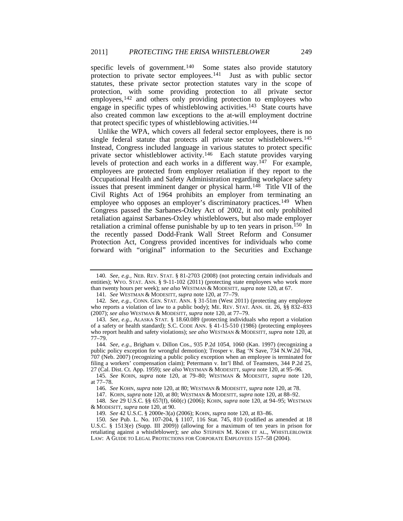specific levels of government.<sup>140</sup> Some states also provide statutory protection to private sector employees.[141](#page-15-1) Just as with public sector statutes, these private sector protection statutes vary in the scope of protection, with some providing protection to all private sector employees,<sup>[142](#page-15-2)</sup> and others only providing protection to employees who engage in specific types of whistleblowing activities.[143](#page-15-3) State courts have also created common law exceptions to the at-will employment doctrine that protect specific types of whistleblowing activities.<sup>[144](#page-15-4)</sup>

Unlike the WPA, which covers all federal sector employees, there is no single federal statute that protects all private sector whistleblowers.<sup>[145](#page-15-5)</sup> Instead, Congress included language in various statutes to protect specific private sector whistleblower activity.[146](#page-15-6) Each statute provides varying levels of protection and each works in a different way.[147](#page-15-7) For example, employees are protected from employer retaliation if they report to the Occupational Health and Safety Administration regarding workplace safety issues that present imminent danger or physical harm.[148](#page-15-8) Title VII of the Civil Rights Act of 1964 prohibits an employer from terminating an employee who opposes an employer's discriminatory practices.<sup>[149](#page-15-9)</sup> When Congress passed the Sarbanes-Oxley Act of 2002, it not only prohibited retaliation against Sarbanes-Oxley whistleblowers, but also made employer retaliation a criminal offense punishable by up to ten years in prison.<sup>[150](#page-15-10)</sup> In the recently passed Dodd-Frank Wall Street Reform and Consumer Protection Act, Congress provided incentives for individuals who come forward with "original" information to the Securities and Exchange

<span id="page-15-0"></span><sup>140</sup>*. See, e.g.*, NEB. REV. STAT. § 81-2703 (2008) (not protecting certain individuals and entities); WYO. STAT. ANN. § 9-11-102 (2011) (protecting state employees who work more than twenty hours per week); *see also* WESTMAN & MODESITT, *supra* note [120,](#page-13-0) at 67.

<sup>141</sup>*. See* WESTMAN & MODESITT, *supra* not[e 120,](#page-13-0) at 77–79.

<span id="page-15-2"></span><span id="page-15-1"></span><sup>142</sup>*. See, e.g.*, CONN. GEN. STAT. ANN. § 31-51m (West 2011) (protecting any employee who reports a violation of law to a public body); ME. REV. STAT. ANN. tit. 26, §§ 832–833 (2007); *see also* WESTMAN & MODESITT, *supra* not[e 120,](#page-13-0) at 77–79.

<span id="page-15-3"></span><sup>143</sup>*. See, e.g.*, ALASKA STAT. § 18.60.089 (protecting individuals who report a violation of a safety or health standard); S.C. CODE ANN. § 41-15-510 (1986) (protecting employees who report health and safety violations); *see also* WESTMAN & MODESITT, *supra* not[e 120,](#page-13-0) at 77–79.

<span id="page-15-4"></span><sup>144</sup>*. See, e.g.*, Brigham v. Dillon Cos., 935 P.2d 1054, 1060 (Kan. 1997) (recognizing a public policy exception for wrongful demotion); Trosper v. Bag 'N Save, 734 N.W.2d 704, 707 (Neb. 2007) (recognizing a public policy exception when an employee is terminated for filing a workers' compensation claim); Petermann v. Int'l Bhd. of Teamsters, 344 P.2d 25, 27 (Cal. Dist. Ct. App. 1959); *see also* WESTMAN & MODESITT, *supra* not[e 120,](#page-13-0) at 95–96.

<span id="page-15-6"></span><span id="page-15-5"></span><sup>145</sup>*. See* KOHN, *supra* note [120,](#page-13-0) at 79–80; WESTMAN & MODESITT, *supra* note [120,](#page-13-0)  at 77–78.

<sup>146</sup>*. See* KOHN, *supra* not[e 120,](#page-13-0) at 80; WESTMAN & MODESITT, *supra* note [120,](#page-13-0) at 78.

<sup>147.</sup> KOHN, *supra* not[e 120,](#page-13-0) at 80; WESTMAN & MODESITT, *supra* not[e 120,](#page-13-0) at 88–92.

<span id="page-15-8"></span><span id="page-15-7"></span><sup>148</sup>*. See* 29 U.S.C. §§ 657(f), 660(c) (2006); KOHN, *supra* note [120,](#page-13-0) at 94–95; WESTMAN & MODESITT, *supra* note [120,](#page-13-0) at 90.

<sup>149</sup>*. See* 42 U.S.C. § 2000e-3(a) (2006); KOHN, *supra* not[e 120,](#page-13-0) at 83–86.

<span id="page-15-10"></span><span id="page-15-9"></span><sup>150</sup>*. See* Pub. L. No. 107-204, § 1107, 116 Stat. 745, 810 (codified as amended at 18 U.S.C. § 1513(e) (Supp. III 2009)) (allowing for a maximum of ten years in prison for retaliating against a whistleblower); *see also* STEPHEN M. KOHN ET AL., WHISTLEBLOWER LAW: A GUIDE TO LEGAL PROTECTIONS FOR CORPORATE EMPLOYEES 157–58 (2004).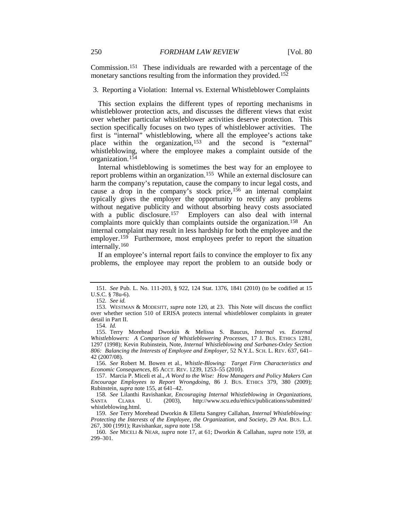Commission.[151](#page-16-3) These individuals are rewarded with a percentage of the monetary sanctions resulting from the information they provided.<sup>[152](#page-16-4)</sup>

#### 3. Reporting a Violation: Internal vs. External Whistleblower Complaints

This section explains the different types of reporting mechanisms in whistleblower protection acts, and discusses the different views that exist over whether particular whistleblower activities deserve protection. This section specifically focuses on two types of whistleblower activities. The first is "internal" whistleblowing, where all the employee's actions take place within the organization,[153](#page-16-5) and the second is "external" whistleblowing, where the employee makes a complaint outside of the organization.[154](#page-16-6)

<span id="page-16-13"></span><span id="page-16-0"></span>Internal whistleblowing is sometimes the best way for an employee to report problems within an organization.[155](#page-16-7) While an external disclosure can harm the company's reputation, cause the company to incur legal costs, and cause a drop in the company's stock price,[156](#page-16-8) an internal complaint typically gives the employer the opportunity to rectify any problems without negative publicity and without absorbing heavy costs associated with a public disclosure.<sup>157</sup> Employers can also deal with internal complaints more quickly than complaints outside the organization.[158](#page-16-10) An internal complaint may result in less hardship for both the employee and the employer.<sup>[159](#page-16-11)</sup> Furthermore, most employees prefer to report the situation internally.[160](#page-16-12)

<span id="page-16-14"></span><span id="page-16-2"></span><span id="page-16-1"></span>If an employee's internal report fails to convince the employer to fix any problems, the employee may report the problem to an outside body or

<span id="page-16-3"></span><sup>151</sup>*. See* Pub. L. No. 111-203, § 922, 124 Stat. 1376, 1841 (2010) (to be codified at 15 U.S.C. § 78u-6).

<sup>152</sup>*. See id.*

<span id="page-16-5"></span><span id="page-16-4"></span><sup>153.</sup> WESTMAN & MODESITT, *supra* note [120,](#page-13-0) at 23. This Note will discuss the conflict over whether section 510 of ERISA protects internal whistleblower complaints in greater detail in Part II.

<sup>154.</sup> *Id.*

<span id="page-16-7"></span><span id="page-16-6"></span><sup>155.</sup> Terry Morehead Dworkin & Melissa S. Baucus, *Internal vs. External Whistleblowers: A Comparison of Whistleblowering Processes*, 17 J. BUS. ETHICS 1281, 1297 (1998); Kevin Rubinstein, Note, *Internal Whistleblowing and Sarbanes-Oxley Section 806: Balancing the Interests of Employee and Employer*, 52 N.Y.L. SCH. L. REV. 637, 641– 42 (2007/08).

<span id="page-16-8"></span><sup>156</sup>*. See* Robert M. Bowen et al., *Whistle-Blowing: Target Firm Characteristics and Economic Consequences*, 85 ACCT. REV. 1239, 1253–55 (2010).

<span id="page-16-9"></span><sup>157.</sup> Marcia P. Miceli et al., *A Word to the Wise: How Managers and Policy Makers Can Encourage Employees to Report Wrongdoing*, 86 J. BUS. ETHICS 379, 380 (2009); Rubinstein, *supra* note [155,](#page-16-0) at 641–42.

<span id="page-16-10"></span><sup>158</sup>*. See* Lilanthi Ravishankar, *Encouraging Internal Whistleblowing in Organizations*, http://www.scu.edu/ethics/publications/submitted/ whistleblowing.html.

<span id="page-16-11"></span><sup>159</sup>*. See* Terry Morehead Dworkin & Elletta Sangrey Callahan, *Internal Whistleblowing: Protecting the Interests of the Employee, the Organization, and Society*, 29 AM. BUS. L.J. 267, 300 (1991); Ravishankar, *supra* not[e 158.](#page-16-1)

<span id="page-16-12"></span><sup>160</sup>*. See* MICELI & NEAR, *supra* note [17,](#page-3-11) at 61; Dworkin & Callahan, *supra* note [159,](#page-16-2) at 299–301.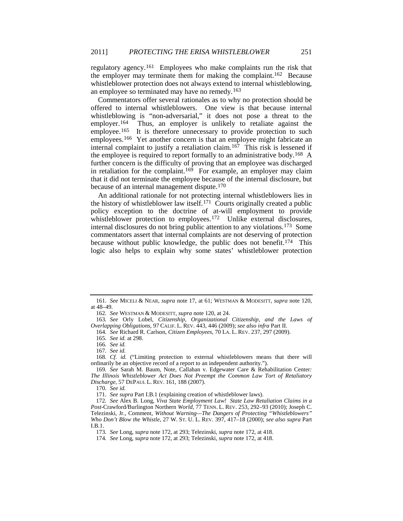regulatory agency.[161](#page-17-1) Employees who make complaints run the risk that the employer may terminate them for making the complaint.[162](#page-17-2) Because whistleblower protection does not always extend to internal whistleblowing, an employee so terminated may have no remedy.[163](#page-17-3)

<span id="page-17-17"></span><span id="page-17-15"></span>Commentators offer several rationales as to why no protection should be offered to internal whistleblowers. One view is that because internal whistleblowing is "non-adversarial," it does not pose a threat to the employer.<sup>[164](#page-17-4)</sup> Thus, an employer is unlikely to retaliate against the employee.<sup>[165](#page-17-5)</sup> It is therefore unnecessary to provide protection to such employees.<sup>166</sup> Yet another concern is that an employee might fabricate an internal complaint to justify a retaliation claim.<sup>[167](#page-17-7)</sup> This risk is lessened if the employee is required to report formally to an administrative body.<sup>[168](#page-17-8)</sup> A further concern is the difficulty of proving that an employee was discharged in retaliation for the complaint.<sup>169</sup> For example, an employer may claim that it did not terminate the employee because of the internal disclosure, but because of an internal management dispute.<sup>[170](#page-17-10)</sup>

<span id="page-17-16"></span><span id="page-17-0"></span>An additional rationale for not protecting internal whistleblowers lies in the history of whistleblower law itself.[171](#page-17-11) Courts originally created a public policy exception to the doctrine of at-will employment to provide whistleblower protection to employees.<sup>172</sup> Unlike external disclosures, internal disclosures do not bring public attention to any violations[.173](#page-17-13) Some commentators assert that internal complaints are not deserving of protection because without public knowledge, the public does not benefit.<sup>[174](#page-17-14)</sup> This logic also helps to explain why some states' whistleblower protection

<span id="page-17-1"></span><sup>161</sup>*. See* MICELI & NEAR, *supra* note [17,](#page-3-11) at 61; WESTMAN & MODESITT, *supra* note [120,](#page-13-0)  at 48–49.

<sup>162</sup>*. See* WESTMAN & MODESITT, *supra* not[e 120,](#page-13-0) at 24.

<span id="page-17-5"></span><span id="page-17-4"></span><span id="page-17-3"></span><span id="page-17-2"></span><sup>163</sup>*. See* Orly Lobel, *Citizenship, Organizational Citizenship, and the Laws of Overlapping Obligations*, 97 CALIF. L. REV. 443, 446 (2009); *see also infra* Part II.

<sup>164</sup>*. See* Richard R. Carlson, *Citizen Employees*, 70 LA. L. REV. 237, 297 (2009).

<sup>165</sup>*. See id.* at 298.

<sup>166</sup>*. See id.*

<sup>167</sup>*. See id.*

<span id="page-17-8"></span><span id="page-17-7"></span><span id="page-17-6"></span><sup>168</sup>*. Cf. id.* ("Limiting protection to external whistleblowers means that there will ordinarily be an objective record of a report to an independent authority.").

<span id="page-17-9"></span><sup>169</sup>*. See* Sarah M. Baum, Note, Callahan v. Edgewater Care & Rehabilitation Center*: The Illinois Whistleblower Act Does Not Preempt the Common Law Tort of Retaliatory Discharge*, 57 DEPAUL L. REV. 161, 188 (2007).

<sup>170</sup>*. See id.*

<sup>171</sup>*. See supra* Part I.B.1 (explaining creation of whistleblower laws).

<span id="page-17-13"></span><span id="page-17-12"></span><span id="page-17-11"></span><span id="page-17-10"></span><sup>172</sup>*. See* Alex B. Long, *Viva State Employment Law! State Law Retaliation Claims in a Post-*Crawford*/*Burlington Northern *World*, 77 TENN. L. REV. 253, 292–93 (2010); Joseph C. Telezinski, Jr., Comment, *Without Warning—The Dangers of Protecting "Whistleblowers" Who Don't Blow the Whistle*, 27 W. ST. U. L. REV. 397, 417–18 (2000); *see also supra* Part I.B.1.

<sup>173</sup>*. See* Long, *supra* not[e 172,](#page-17-0) at 293; Telezinski, *supra* not[e 172,](#page-17-0) at 418.

<span id="page-17-14"></span><sup>174</sup>*. See* Long, *supra* not[e 172,](#page-17-0) at 293; Telezinski, *supra* not[e 172,](#page-17-0) at 418.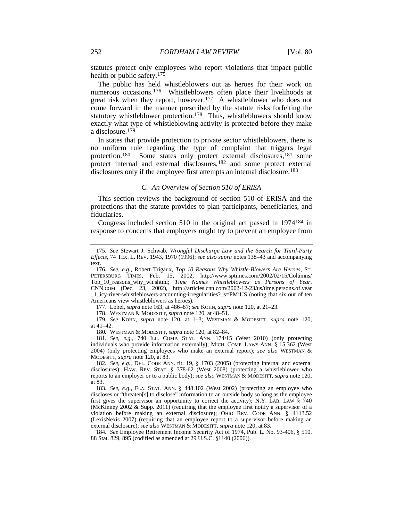statutes protect only employees who report violations that impact public health or public safety.<sup>[175](#page-18-0)</sup>

The public has held whistleblowers out as heroes for their work on numerous occasions.[176](#page-18-1) Whistleblowers often place their livelihoods at great risk when they report, however.[177](#page-18-2) A whistleblower who does not come forward in the manner prescribed by the statute risks forfeiting the statutory whistleblower protection.<sup>[178](#page-18-3)</sup> Thus, whistleblowers should know exactly what type of whistleblowing activity is protected before they make a disclosure[.179](#page-18-4)

In states that provide protection to private sector whistleblowers, there is no uniform rule regarding the type of complaint that triggers legal protection.<sup>[180](#page-18-5)</sup> Some states only protect external disclosures,<sup>[181](#page-18-6)</sup> some protect internal and external disclosures,<sup>182</sup> and some protect external disclosures only if the employee first attempts an internal disclosure.<sup>[183](#page-18-8)</sup>

#### <span id="page-18-10"></span>*C. An Overview of Section 510 of ERISA*

This section reviews the background of section 510 of ERISA and the protections that the statute provides to plan participants, beneficiaries, and fiduciaries.

Congress included section 510 in the original act passed in 1974[184](#page-18-9) in response to concerns that employers might try to prevent an employee from

177. Lobel, *supra* note [163,](#page-17-15) at 486–87; *see* KOHN, *supra* note [120,](#page-13-0) at 21–23.

178. WESTMAN & MODESITT, *supra* note [120,](#page-13-0) at 48–51.

<span id="page-18-4"></span><span id="page-18-3"></span><span id="page-18-2"></span>179*. See* KOHN, *supra* note [120,](#page-13-0) at 1–3; WESTMAN & MODESITT, *supra* note [120,](#page-13-0)  at 41–42.

180*.* WESTMAN & MODESITT, *supra* note [120,](#page-13-0) at 82–84.

<span id="page-18-6"></span><span id="page-18-5"></span>181*. See, e.g.*, 740 ILL. COMP. STAT. ANN. 174/15 (West 2010) (only protecting individuals who provide information externally); MICH. COMP. LAWS ANN. § 15.362 (West 2004) (only protecting employees who make an external report); *see also* WESTMAN & MODESITT, *supra* not[e 120,](#page-13-0) at 83.

<span id="page-18-7"></span>182*. See, e.g.*, DEL. CODE ANN. tit. 19, § 1703 (2005) (protecting internal and external disclosures); HAW. REV. STAT. § 378-62 (West 2008) (protecting a whistleblower who reports to an employer or to a public body); *see also* WESTMAN & MODESITT, *supra* not[e 120,](#page-13-0)  at 83.

<span id="page-18-8"></span>183*. See, e.g.*, FLA. STAT. ANN. § 448.102 (West 2002) (protecting an employee who discloses or "threaten[s] to disclose" information to an outside body so long as the employee first gives the supervisor an opportunity to correct the activity); N.Y. LAB. LAW § 740 (McKinney 2002 & Supp. 2011) (requiring that the employee first notify a supervisor of a violation before making an external disclosure); OHIO REV. CODE ANN. § 4113.52 (LexisNexis 2007) (requiring that an employee report to a supervisor before making an external disclosure); *see also* WESTMAN & MODESITT, *supra* not[e 120,](#page-13-0) at 83.

<span id="page-18-9"></span>184*. See* Employee Retirement Income Security Act of 1974, Pub. L. No. 93-406, § 510, 88 Stat. 829, 895 (codified as amended at 29 U.S.C. §1140 (2006)).

<span id="page-18-0"></span><sup>175</sup>*. See* Stewart J. Schwab, *Wrongful Discharge Law and the Search for Third-Party Effects*, 74 TEX. L. REV. 1943, 1970 (1996); *see also supra* notes [138–](#page-14-14)43 and accompanying text.

<span id="page-18-1"></span><sup>176</sup>*. See, e.g.*, Robert Trigaux, *Top 10 Reasons Why Whistle-Blowers Are Heroes*, ST. PETERSBURG TIMES, Feb. 15, 2002, http://www.sptimes.com/2002/02/15/Columns/ Top\_10\_reasons\_why\_wh.shtml; *Time Names Whistleblowers as Persons of Year*, CNN.COM (Dec. 23, 2002), http://articles.cnn.com/2002-12-23/us/time.persons.of.year \_1\_icy-river-whistleblowers-accounting-irregularities?\_s=PM:US (noting that six out of ten Americans view whistleblowers as heroes).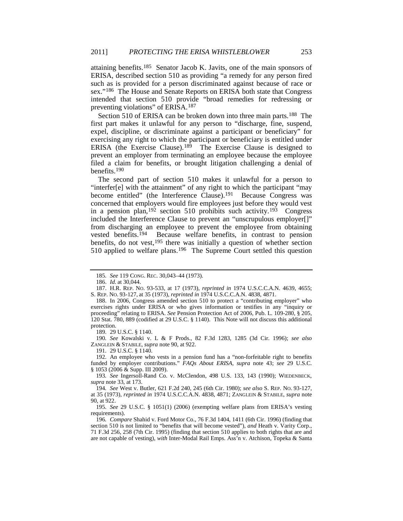<span id="page-19-12"></span>attaining benefits.[185](#page-19-0) Senator Jacob K. Javits, one of the main sponsors of ERISA, described section 510 as providing "a remedy for any person fired such as is provided for a person discriminated against because of race or sex."[186](#page-19-1) The House and Senate Reports on ERISA both state that Congress intended that section 510 provide "broad remedies for redressing or preventing violations" of ERISA.[187](#page-19-2)

Section 510 of ERISA can be broken down into three main parts.<sup>[188](#page-19-3)</sup> The first part makes it unlawful for any person to "discharge, fine, suspend, expel, discipline, or discriminate against a participant or beneficiary" for exercising any right to which the participant or beneficiary is entitled under ERISA (the Exercise Clause).[189](#page-19-4) The Exercise Clause is designed to prevent an employer from terminating an employee because the employee filed a claim for benefits, or brought litigation challenging a denial of benefits.[190](#page-19-5)

The second part of section 510 makes it unlawful for a person to "interfer[e] with the attainment" of any right to which the participant "may become entitled" (the Interference Clause).<sup>[191](#page-19-6)</sup> Because Congress was concerned that employers would fire employees just before they would vest in a pension plan,[192](#page-19-7) section 510 prohibits such activity.[193](#page-19-8) Congress included the Interference Clause to prevent an "unscrupulous employer[]" from discharging an employee to prevent the employee from obtaining vested benefits.[194](#page-19-9) Because welfare benefits, in contrast to pension benefits, do not vest,  $195$  there was initially a question of whether section 510 applied to welfare plans.<sup>[196](#page-19-11)</sup> The Supreme Court settled this question

189. 29 U.S.C. § 1140.

<span id="page-19-5"></span><span id="page-19-4"></span>190*. See* Kowalski v. L & F Prods., 82 F.3d 1283, 1285 (3d Cir. 1996); *see also* ZANGLEIN & STABILE, *supra* note [90,](#page-10-0) at 922.

191. 29 U.S.C. § 1140.

<span id="page-19-7"></span><span id="page-19-6"></span>192. An employee who vests in a pension fund has a "non-forfeitable right to benefits funded by employer contributions." *FAQs About ERISA*, *supra* note [43;](#page-6-0) *see* 29 U.S.C. § 1053 (2006 & Supp. III 2009).

<span id="page-19-8"></span>193*. See* Ingersoll-Rand Co. v. McClendon, 498 U.S. 133, 143 (1990); WIEDENBECK, *supra* not[e 33,](#page-5-0) at 173.

<span id="page-19-11"></span>196*. Compare* Shahid v. Ford Motor Co., 76 F.3d 1404, 1411 (6th Cir. 1996) (finding that section 510 is not limited to "benefits that will become vested"), *and* Heath v. Varity Corp., 71 F.3d 256, 258 (7th Cir. 1995) (finding that section 510 applies to both rights that are and are not capable of vesting), *with* Inter-Modal Rail Emps. Ass'n v. Atchison, Topeka & Santa

<sup>185</sup>*. See* 119 CONG. REC. 30,043–44 (1973).

<sup>186.</sup> *Id.* at 30,044.

<span id="page-19-2"></span><span id="page-19-1"></span><span id="page-19-0"></span><sup>187.</sup> H.R. REP. NO. 93-533, at 17 (1973), *reprinted in* 1974 U.S.C.C.A.N. 4639, 4655; S. REP. NO. 93-127, at 35 (1973), *reprinted in* 1974 U.S.C.C.A.N. 4838, 4871.

<span id="page-19-3"></span><sup>188.</sup> In 2006, Congress amended section 510 to protect a "contributing employer" who exercises rights under ERISA or who gives information or testifies in any "inquiry or proceeding" relating to ERISA. *See* Pension Protection Act of 2006, Pub. L. 109-280, § 205, 120 Stat. 780, 889 (codified at 29 U.S.C. § 1140). This Note will not discuss this additional protection.

<span id="page-19-9"></span><sup>194</sup>*. See* West v. Butler, 621 F.2d 240, 245 (6th Cir. 1980); *see also* S. REP. NO. 93-127, at 35 (1973), *reprinted in* 1974 U.S.C.C.A.N. 4838, 4871; ZANGLEIN & STABILE, *supra* note [90,](#page-10-0) at 922.

<span id="page-19-10"></span><sup>195</sup>*. See* 29 U.S.C. § 1051(1) (2006) (exempting welfare plans from ERISA's vesting requirements).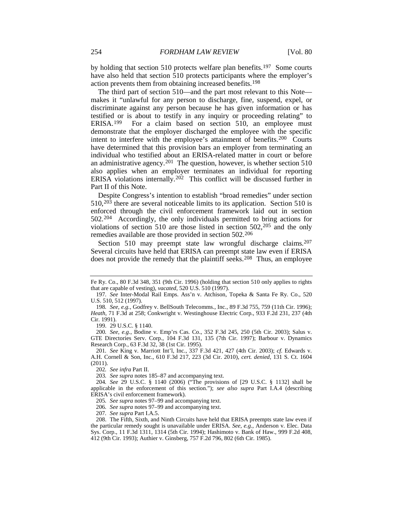by holding that section 510 protects welfare plan benefits.<sup>197</sup> Some courts have also held that section 510 protects participants where the employer's action prevents them from obtaining increased benefits.[198](#page-20-1)

The third part of section 510—and the part most relevant to this Note makes it "unlawful for any person to discharge, fine, suspend, expel, or discriminate against any person because he has given information or has testified or is about to testify in any inquiry or proceeding relating" to ERISA.<sup>[199](#page-20-2)</sup> For a claim based on section 510, an employee must demonstrate that the employer discharged the employee with the specific intent to interfere with the employee's attainment of benefits[.200](#page-20-3) Courts have determined that this provision bars an employer from terminating an individual who testified about an ERISA-related matter in court or before an administrative agency.[201](#page-20-4) The question, however, is whether section 510 also applies when an employer terminates an individual for reporting ERISA violations internally.<sup>[202](#page-20-5)</sup> This conflict will be discussed further in Part II of this Note.

<span id="page-20-12"></span>Despite Congress's intention to establish "broad remedies" under section 510, [203](#page-20-6) there are several noticeable limits to its application. Section 510 is enforced through the civil enforcement framework laid out in section 502.[204](#page-20-7) Accordingly, the only individuals permitted to bring actions for violations of section 510 are those listed in section 502[,205](#page-20-8) and the only remedies available are those provided in section 502.[206](#page-20-9)

<span id="page-20-13"></span>Section 510 may preempt state law wrongful discharge claims.<sup>[207](#page-20-10)</sup> Several circuits have held that ERISA can preempt state law even if ERISA does not provide the remedy that the plaintiff seeks.<sup>[208](#page-20-11)</sup> Thus, an employee

199. 29 U.S.C. § 1140.

<span id="page-20-3"></span><span id="page-20-2"></span>200*. See, e.g.*, Bodine v. Emp'rs Cas. Co., 352 F.3d 245, 250 (5th Cir. 2003); Salus v. GTE Directories Serv. Corp., 104 F.3d 131, 135 (7th Cir. 1997); Barbour v. Dynamics Research Corp., 63 F.3d 32, 38 (1st Cir. 1995).

Fe Ry. Co., 80 F.3d 348, 351 (9th Cir. 1996) (holding that section 510 only applies to rights that are capable of vesting), *vacated*, 520 U.S. 510 (1997).

<span id="page-20-0"></span><sup>197</sup>*. See* Inter-Modal Rail Emps. Ass'n v. Atchison, Topeka & Santa Fe Ry. Co., 520 U.S. 510, 512 (1997).

<span id="page-20-1"></span><sup>198</sup>*. See, e.g.*, Godfrey v. BellSouth Telecomms., Inc., 89 F.3d 755, 759 (11th Cir. 1996); *Heath*, 71 F.3d at 258; Conkwright v. Westinghouse Electric Corp., 933 F.2d 231, 237 (4th Cir. 1991).

<span id="page-20-4"></span><sup>201</sup>*. See* King v. Marriott Int'l, Inc., 337 F.3d 421, 427 (4th Cir. 2003); *cf.* Edwards v. A.H. Cornell & Son, Inc., 610 F.3d 217, 223 (3d Cir. 2010), *cert. denied*, 131 S. Ct. 1604 (2011).

<sup>202</sup>*. See infra* Part II.

<sup>203</sup>*. See supra* note[s 185–](#page-19-12)87 and accompanying text.

<span id="page-20-8"></span><span id="page-20-7"></span><span id="page-20-6"></span><span id="page-20-5"></span><sup>204</sup>*. See* 29 U.S.C. § 1140 (2006) ("The provisions of [29 U.S.C. § 1132] shall be applicable in the enforcement of this section."); *see also supra* Part I.A.4 (describing ERISA's civil enforcement framework).

<sup>205</sup>*. See supra* note[s 97](#page-11-13)[–99](#page-11-14) and accompanying text.

<sup>206</sup>*. See supra* note[s 97](#page-11-13)[–99](#page-11-14) and accompanying text.

<sup>207</sup>*. See supra* Part I.A.5.

<span id="page-20-11"></span><span id="page-20-10"></span><span id="page-20-9"></span><sup>208.</sup> The Fifth, Sixth, and Ninth Circuits have held that ERISA preempts state law even if the particular remedy sought is unavailable under ERISA. *See, e.g.*, Anderson v. Elec. Data Sys. Corp., 11 F.3d 1311, 1314 (5th Cir. 1994); Hashimoto v. Bank of Haw., 999 F.2d 408, 412 (9th Cir. 1993); Authier v. Ginsberg, 757 F.2d 796, 802 (6th Cir. 1985).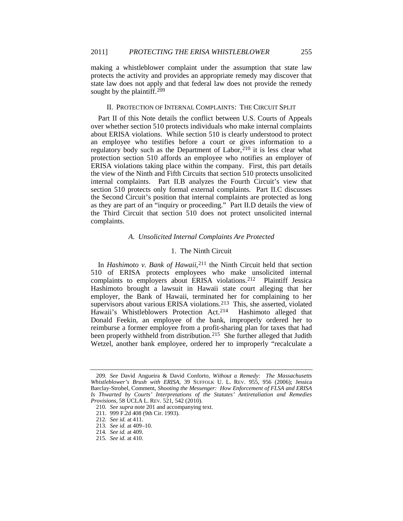making a whistleblower complaint under the assumption that state law protects the activity and provides an appropriate remedy may discover that state law does not apply and that federal law does not provide the remedy sought by the plaintiff.<sup>[209](#page-21-0)</sup>

#### II. PROTECTION OF INTERNAL COMPLAINTS: THE CIRCUIT SPLIT

Part II of this Note details the conflict between U.S. Courts of Appeals over whether section 510 protects individuals who make internal complaints about ERISA violations. While section 510 is clearly understood to protect an employee who testifies before a court or gives information to a regulatory body such as the Department of Labor, [210](#page-21-1) it is less clear what protection section 510 affords an employee who notifies an employer of ERISA violations taking place within the company. First, this part details the view of the Ninth and Fifth Circuits that section 510 protects unsolicited internal complaints. Part II.B analyzes the Fourth Circuit's view that section 510 protects only formal external complaints. Part II.C discusses the Second Circuit's position that internal complaints are protected as long as they are part of an "inquiry or proceeding." Part II.D details the view of the Third Circuit that section 510 does not protect unsolicited internal complaints.

#### *A. Unsolicited Internal Complaints Are Protected*

#### 1. The Ninth Circuit

In *Hashimoto v. Bank of Hawaii*,<sup>[211](#page-21-2)</sup> the Ninth Circuit held that section 510 of ERISA protects employees who make unsolicited internal complaints to employers about ERISA violations.<sup>[212](#page-21-3)</sup> Plaintiff Jessica Hashimoto brought a lawsuit in Hawaii state court alleging that her employer, the Bank of Hawaii, terminated her for complaining to her supervisors about various ERISA violations.<sup>[213](#page-21-4)</sup> This, she asserted, violated Hawaii's Whistleblowers Protection Act.<sup>214</sup> Hashimoto alleged that Donald Feekin, an employee of the bank, improperly ordered her to reimburse a former employee from a profit-sharing plan for taxes that had been properly withheld from distribution.<sup>[215](#page-21-6)</sup> She further alleged that Judith Wetzel, another bank employee, ordered her to improperly "recalculate a

<span id="page-21-1"></span><span id="page-21-0"></span><sup>209</sup>*. See* David Angueira & David Conforto, *Without a Remedy: The Massachusetts Whistleblower's Brush with ERISA*, 39 SUFFOLK U. L. REV. 955, 956 (2006); Jessica Barclay-Strobel, Comment, *Shooting the Messenger: How Enforcement of FLSA and ERISA Is Thwarted by Courts' Interpretations of the Statutes' Antiretaliation and Remedies Provisions*, 58 UCLA L. REV. 521, 542 (2010).

<sup>210</sup>*. See supra* not[e 201](#page-20-12) and accompanying text.

<sup>211.</sup> 999 F.2d 408 (9th Cir. 1993).

<span id="page-21-4"></span><span id="page-21-3"></span><span id="page-21-2"></span><sup>212</sup>*. See id.* at 411.

<sup>213</sup>*. See id.* at 409–10.

<sup>214</sup>*. See id.* at 409.

<span id="page-21-6"></span><span id="page-21-5"></span><sup>215</sup>*. See id.* at 410.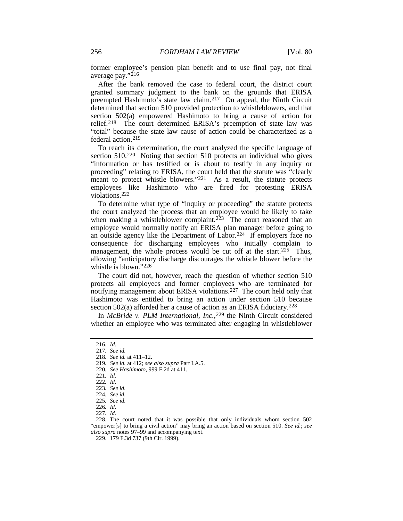former employee's pension plan benefit and to use final pay, not final average pay."[216](#page-22-0)

After the bank removed the case to federal court, the district court granted summary judgment to the bank on the grounds that ERISA preempted Hashimoto's state law claim.[217](#page-22-1) On appeal, the Ninth Circuit determined that section 510 provided protection to whistleblowers, and that section 502(a) empowered Hashimoto to bring a cause of action for relief.[218](#page-22-2) The court determined ERISA's preemption of state law was "total" because the state law cause of action could be characterized as a federal action[.219](#page-22-3)

To reach its determination, the court analyzed the specific language of section 510.[220](#page-22-4) Noting that section 510 protects an individual who gives "information or has testified or is about to testify in any inquiry or proceeding" relating to ERISA, the court held that the statute was "clearly meant to protect whistle blowers."<sup>221</sup> As a result, the statute protects employees like Hashimoto who are fired for protesting ERISA violations.[222](#page-22-6)

To determine what type of "inquiry or proceeding" the statute protects the court analyzed the process that an employee would be likely to take when making a whistleblower complaint.<sup>[223](#page-22-7)</sup> The court reasoned that an employee would normally notify an ERISA plan manager before going to an outside agency like the Department of Labor.<sup>[224](#page-22-8)</sup> If employers face no consequence for discharging employees who initially complain to management, the whole process would be cut off at the start.<sup>225</sup> Thus, allowing "anticipatory discharge discourages the whistle blower before the whistle is blown."[226](#page-22-10)

The court did not, however, reach the question of whether section 510 protects all employees and former employees who are terminated for notifying management about ERISA violations[.227](#page-22-11) The court held only that Hashimoto was entitled to bring an action under section 510 because section 502(a) afforded her a cause of action as an ERISA fiduciary.<sup>[228](#page-22-12)</sup>

In *McBride v. PLM International, Inc.*,<sup>[229](#page-22-13)</sup> the Ninth Circuit considered whether an employee who was terminated after engaging in whistleblower

<span id="page-22-5"></span><span id="page-22-4"></span>220*. See Hashimoto*, 999 F.2d at 411.

<span id="page-22-0"></span><sup>216</sup>*. Id.*

<span id="page-22-2"></span><span id="page-22-1"></span><sup>217</sup>*. See id.*

<sup>218</sup>*. See id.* at 411–12.

<span id="page-22-3"></span><sup>219</sup>*. See id.* at 412; *see also supra* Part I.A.5.

<sup>221</sup>*. Id.*

<sup>222</sup>*. Id.*

<span id="page-22-6"></span><sup>223</sup>*. See id.*

<sup>224</sup>*. See id.*

<sup>225</sup>*. See id.*

<sup>226</sup>*. Id.*

<sup>227</sup>*. Id.*

<span id="page-22-13"></span><span id="page-22-12"></span><span id="page-22-11"></span><span id="page-22-10"></span><span id="page-22-9"></span><span id="page-22-8"></span><span id="page-22-7"></span><sup>228.</sup> The court noted that it was possible that only individuals whom section 502 "empower[s] to bring a civil action" may bring an action based on section 510. *See id.*; *see also supra* notes [97–](#page-11-13)[99](#page-11-14) and accompanying text.

<sup>229.</sup> 179 F.3d 737 (9th Cir. 1999).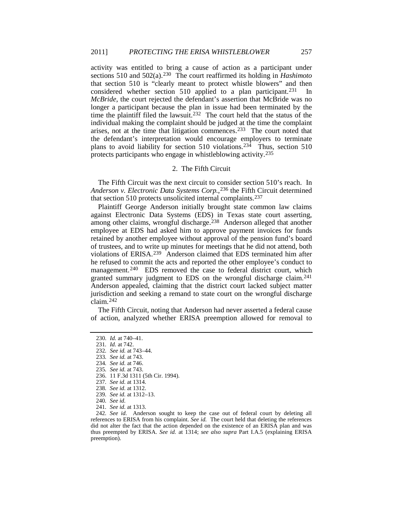activity was entitled to bring a cause of action as a participant under sections 510 and 502(a).[230](#page-23-0) The court reaffirmed its holding in *Hashimoto* that section 510 is "clearly meant to protect whistle blowers" and then considered whether section 510 applied to a plan participant.<sup>[231](#page-23-1)</sup> In *McBride*, the court rejected the defendant's assertion that McBride was no longer a participant because the plan in issue had been terminated by the time the plaintiff filed the lawsuit.<sup>[232](#page-23-2)</sup> The court held that the status of the individual making the complaint should be judged at the time the complaint arises, not at the time that litigation commences.[233](#page-23-3) The court noted that the defendant's interpretation would encourage employers to terminate plans to avoid liability for section 510 violations.<sup>[234](#page-23-4)</sup> Thus, section 510 protects participants who engage in whistleblowing activity[.235](#page-23-5)

#### 2. The Fifth Circuit

The Fifth Circuit was the next circuit to consider section 510's reach. In Anderson v. Electronic Data Systems Corp.,<sup>[236](#page-23-6)</sup> the Fifth Circuit determined that section 510 protects unsolicited internal complaints.[237](#page-23-7)

Plaintiff George Anderson initially brought state common law claims against Electronic Data Systems (EDS) in Texas state court asserting, among other claims, wrongful discharge.[238](#page-23-8) Anderson alleged that another employee at EDS had asked him to approve payment invoices for funds retained by another employee without approval of the pension fund's board of trustees, and to write up minutes for meetings that he did not attend, both violations of ERISA.[239](#page-23-9) Anderson claimed that EDS terminated him after he refused to commit the acts and reported the other employee's conduct to management.<sup>240</sup> EDS removed the case to federal district court, which granted summary judgment to EDS on the wrongful discharge claim.[241](#page-23-11) Anderson appealed, claiming that the district court lacked subject matter jurisdiction and seeking a remand to state court on the wrongful discharge claim.[242](#page-23-12)

<span id="page-23-0"></span>The Fifth Circuit, noting that Anderson had never asserted a federal cause of action, analyzed whether ERISA preemption allowed for removal to

<sup>230</sup>*. Id.* at 740–41.

<span id="page-23-1"></span><sup>231</sup>*. Id.* at 742.

<span id="page-23-2"></span><sup>232</sup>*. See id.* at 743–44.

<sup>233</sup>*. See id.* at 743.

<span id="page-23-4"></span><span id="page-23-3"></span><sup>234</sup>*. See id.* at 746.

<span id="page-23-5"></span><sup>235</sup>*. See id.* at 743.

<sup>236.</sup> 11 F.3d 1311 (5th Cir. 1994).

<span id="page-23-7"></span><span id="page-23-6"></span><sup>237</sup>*. See id.* at 1314.

<sup>238</sup>*. See id.* at 1312.

<sup>239</sup>*. See id.* at 1312–13.

<sup>240</sup>*. See id.*

<sup>241</sup>*. See id.* at 1313.

<span id="page-23-12"></span><span id="page-23-11"></span><span id="page-23-10"></span><span id="page-23-9"></span><span id="page-23-8"></span><sup>242</sup>*. See id.* Anderson sought to keep the case out of federal court by deleting all references to ERISA from his complaint. *See id.* The court held that deleting the references did not alter the fact that the action depended on the existence of an ERISA plan and was thus preempted by ERISA. *See id.* at 1314; *see also supra* Part I.A.5 (explaining ERISA preemption).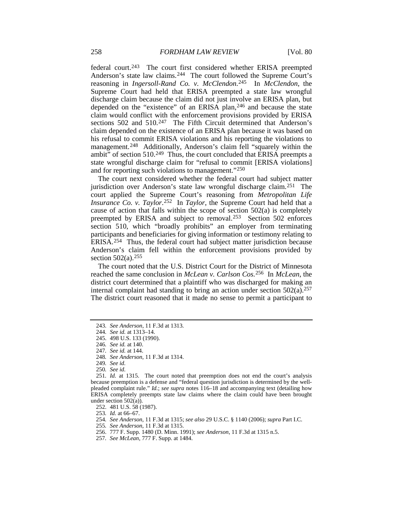federal court.[243](#page-24-0) The court first considered whether ERISA preempted Anderson's state law claims.[244](#page-24-1) The court followed the Supreme Court's reasoning in *Ingersoll-Rand Co. v. McClendon*[.245](#page-24-2) In *McClendon*, the Supreme Court had held that ERISA preempted a state law wrongful discharge claim because the claim did not just involve an ERISA plan, but depended on the "existence" of an ERISA plan,<sup>[246](#page-24-3)</sup> and because the state claim would conflict with the enforcement provisions provided by ERISA sections 502 and 510.<sup>[247](#page-24-4)</sup> The Fifth Circuit determined that Anderson's claim depended on the existence of an ERISA plan because it was based on his refusal to commit ERISA violations and his reporting the violations to management.<sup>248</sup> Additionally, Anderson's claim fell "squarely within the ambit" of section 510.<sup>249</sup> Thus, the court concluded that ERISA preempts a state wrongful discharge claim for "refusal to commit [ERISA violations] and for reporting such violations to management."[250](#page-24-7)

The court next considered whether the federal court had subject matter jurisdiction over Anderson's state law wrongful discharge claim.[251](#page-24-8) The court applied the Supreme Court's reasoning from *Metropolitan Life Insurance Co. v. Taylor*.<sup>[252](#page-24-9)</sup> In *Taylor*, the Supreme Court had held that a cause of action that falls within the scope of section 502(a) is completely preempted by ERISA and subject to removal.[253](#page-24-10) Section 502 enforces section 510, which "broadly prohibits" an employer from terminating participants and beneficiaries for giving information or testimony relating to ERISA.[254](#page-24-11) Thus, the federal court had subject matter jurisdiction because Anderson's claim fell within the enforcement provisions provided by section  $502(a)$ .<sup>[255](#page-24-12)</sup>

The court noted that the U.S. District Court for the District of Minnesota reached the same conclusion in *McLean v. Carlson Cos.*[256](#page-24-13) In *McLean*, the district court determined that a plaintiff who was discharged for making an internal complaint had standing to bring an action under section  $502(a).^{257}$  $502(a).^{257}$  $502(a).^{257}$ The district court reasoned that it made no sense to permit a participant to

249*. See id.*

- <span id="page-24-13"></span>256. 777 F. Supp. 1480 (D. Minn. 1991); *see Anderson*, 11 F.3d at 1315 n.5.
- <span id="page-24-14"></span>257*. See McLean*, 777 F. Supp. at 1484.

<sup>243</sup>*. See Anderson*, 11 F.3d at 1313.

<sup>244</sup>*. See id.* at 1313–14.

<sup>245.</sup> 498 U.S. 133 (1990).

<sup>246</sup>*. See id.* at 140.

<sup>247</sup>*. See id.* at 144.

<sup>248</sup>*. See Anderson*, 11 F.3d at 1314.

<span id="page-24-11"></span><span id="page-24-10"></span><span id="page-24-9"></span><span id="page-24-8"></span><span id="page-24-7"></span><span id="page-24-6"></span><span id="page-24-5"></span><span id="page-24-4"></span><span id="page-24-3"></span><span id="page-24-2"></span><span id="page-24-1"></span><span id="page-24-0"></span><sup>250</sup>*. See id.* 251*. Id.* at 1315. The court noted that preemption does not end the court's analysis because preemption is a defense and "federal question jurisdiction is determined by the wellpleaded complaint rule." *Id.*; *see supra* notes [116–](#page-12-9)18 and accompanying text (detailing how ERISA completely preempts state law claims where the claim could have been brought

<span id="page-24-12"></span>under section 502(a)).

<sup>252.</sup> 481 U.S. 58 (1987).

<sup>253</sup>*. Id.* at 66–67.

<sup>254</sup>*. See Anderson*, 11 F.3d at 1315; *see also* 29 U.S.C. § 1140 (2006); *supra* Part I.C.

<sup>255</sup>*. See Anderson*, 11 F.3d at 1315.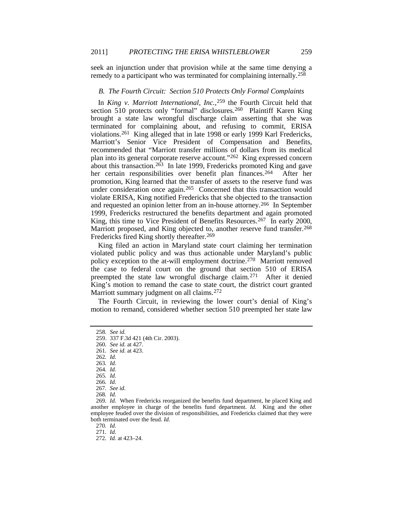seek an injunction under that provision while at the same time denying a remedy to a participant who was terminated for complaining internally.<sup>[258](#page-25-0)</sup>

#### *B. The Fourth Circuit: Section 510 Protects Only Formal Complaints*

In *King v. Marriott International, Inc.*,<sup>[259](#page-25-1)</sup> the Fourth Circuit held that section 510 protects only "formal" disclosures.<sup>[260](#page-25-2)</sup> Plaintiff Karen King brought a state law wrongful discharge claim asserting that she was terminated for complaining about, and refusing to commit, ERISA violations.[261](#page-25-3) King alleged that in late 1998 or early 1999 Karl Fredericks, Marriott's Senior Vice President of Compensation and Benefits, recommended that "Marriott transfer millions of dollars from its medical plan into its general corporate reserve account."[262](#page-25-4) King expressed concern about this transaction.<sup>263</sup> In late 1999, Fredericks promoted King and gave her certain responsibilities over benefit plan finances.[264](#page-25-6) After her promotion, King learned that the transfer of assets to the reserve fund was under consideration once again.<sup>[265](#page-25-7)</sup> Concerned that this transaction would violate ERISA, King notified Fredericks that she objected to the transaction and requested an opinion letter from an in-house attorney.[266](#page-25-8) In September 1999, Fredericks restructured the benefits department and again promoted King, this time to Vice President of Benefits Resources.<sup>[267](#page-25-9)</sup> In early 2000, Marriott proposed, and King objected to, another reserve fund transfer.<sup>[268](#page-25-10)</sup> Fredericks fired King shortly thereafter.[269](#page-25-11)

King filed an action in Maryland state court claiming her termination violated public policy and was thus actionable under Maryland's public policy exception to the at-will employment doctrine.[270](#page-25-12) Marriott removed the case to federal court on the ground that section 510 of ERISA preempted the state law wrongful discharge claim.[271](#page-25-13) After it denied King's motion to remand the case to state court, the district court granted Marriott summary judgment on all claims.[272](#page-25-14)

The Fourth Circuit, in reviewing the lower court's denial of King's motion to remand, considered whether section 510 preempted her state law

270*. Id.*

<span id="page-25-0"></span><sup>258</sup>*. See id.*

<span id="page-25-1"></span><sup>259.</sup> 337 F.3d 421 (4th Cir. 2003).

<span id="page-25-2"></span><sup>260</sup>*. See id.* at 427.

<span id="page-25-3"></span><sup>261</sup>*. See id.* at 423.

<sup>262</sup>*. Id.*

<span id="page-25-5"></span><span id="page-25-4"></span><sup>263</sup>*. Id.*

<sup>264</sup>*. Id.*

<sup>265</sup>*. Id.*

<sup>266</sup>*. Id.*

<sup>267</sup>*. See id.*

<sup>268</sup>*. Id.*

<span id="page-25-13"></span><span id="page-25-12"></span><span id="page-25-11"></span><span id="page-25-10"></span><span id="page-25-9"></span><span id="page-25-8"></span><span id="page-25-7"></span><span id="page-25-6"></span><sup>269</sup>*. Id.* When Fredericks reorganized the benefits fund department, he placed King and another employee in charge of the benefits fund department. *Id.* King and the other employee feuded over the division of responsibilities, and Fredericks claimed that they were both terminated over the feud. *Id.*

<sup>271</sup>*. Id.*

<span id="page-25-14"></span><sup>272</sup>*. Id.* at 423–24.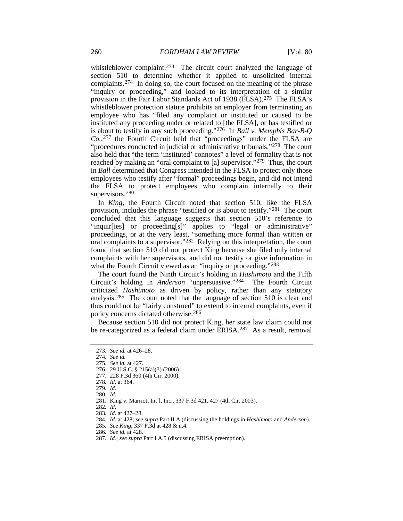whistleblower complaint.<sup>273</sup> The circuit court analyzed the language of section 510 to determine whether it applied to unsolicited internal complaints[.274](#page-26-1) In doing so, the court focused on the meaning of the phrase "inquiry or proceeding," and looked to its interpretation of a similar provision in the Fair Labor Standards Act of 1938 (FLSA).[275](#page-26-2) The FLSA's whistleblower protection statute prohibits an employer from terminating an employee who has "filed any complaint or instituted or caused to be instituted any proceeding under or related to [the FLSA], or has testified or is about to testify in any such proceeding."[276](#page-26-3) In *Ball v. Memphis Bar-B-Q Co.*,[277](#page-26-4) the Fourth Circuit held that "proceedings" under the FLSA are "procedures conducted in judicial or administrative tribunals."[278](#page-26-5) The court also held that "the term 'instituted' connotes" a level of formality that is not reached by making an "oral complaint to [a] supervisor."[279](#page-26-6) Thus, the court in *Ball* determined that Congress intended in the FLSA to protect only those employees who testify after "formal" proceedings begin, and did not intend the FLSA to protect employees who complain internally to their supervisors.<sup>280</sup>

In *King*, the Fourth Circuit noted that section 510, like the FLSA provision, includes the phrase "testified or is about to testify."[281](#page-26-8) The court concluded that this language suggests that section 510's reference to "inquir[ies] or proceeding[s]" applies to "legal or administrative" proceedings, or at the very least, "something more formal than written or oral complaints to a supervisor."[282](#page-26-9) Relying on this interpretation, the court found that section 510 did not protect King because she filed only internal complaints with her supervisors, and did not testify or give information in what the Fourth Circuit viewed as an "inquiry or proceeding."<sup>[283](#page-26-10)</sup>

The court found the Ninth Circuit's holding in *Hashimoto* and the Fifth reuit's holding in *Anderson* "unpersuasive."<sup>284</sup> The Fourth Circuit Circuit's holding in *Anderson* "unpersuasive."<sup>[284](#page-26-11)</sup> criticized *Hashimoto* as driven by policy, rather than any statutory analysis.[285](#page-26-12) The court noted that the language of section 510 is clear and thus could not be "fairly construed" to extend to internal complaints, even if policy concerns dictated otherwise.[286](#page-26-13)

Because section 510 did not protect King, her state law claim could not be re-categorized as a federal claim under ERISA.<sup>[287](#page-26-14)</sup> As a result, removal

286*. See id.* at 428.

<span id="page-26-0"></span><sup>273</sup>*. See id.* at 426–28.

<sup>274</sup>*. See id.*

<span id="page-26-2"></span><span id="page-26-1"></span><sup>275</sup>*. See id.* at 427.

<span id="page-26-4"></span><span id="page-26-3"></span><sup>276.</sup> 29 U.S.C. § 215(a)(3) (2006). 277. 228 F.3d 360 (4th Cir. 2000).

<sup>278</sup>*. Id.* at 364.

<span id="page-26-7"></span><span id="page-26-6"></span><span id="page-26-5"></span><sup>279</sup>*. Id.*

<sup>280</sup>*. Id.*

<sup>281.</sup> King v. Marriott Int'l, Inc., 337 F.3d 421, 427 (4th Cir. 2003).

<span id="page-26-10"></span><span id="page-26-9"></span><span id="page-26-8"></span><sup>282</sup>*. Id.*

<sup>283</sup>*. Id.* at 427–28.

<span id="page-26-12"></span><span id="page-26-11"></span><sup>284</sup>*. Id.* at 428; *see supra* Part II.A (discussing the holdings in *Hashimoto* and *Anderson*).

<sup>285</sup>*. See King*, 337 F.3d at 428 & n.4.

<span id="page-26-14"></span><span id="page-26-13"></span><sup>287</sup>*. Id.*; *see supra* Part I.A.5 (discussing ERISA preemption).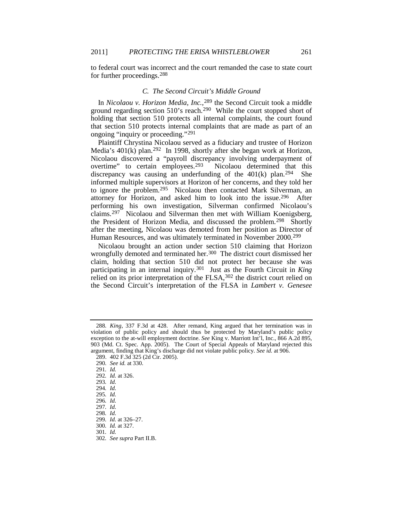to federal court was incorrect and the court remanded the case to state court for further proceedings.[288](#page-27-0)

#### *C. The Second Circuit's Middle Ground*

In *Nicolaou v. Horizon Media, Inc.*,[289](#page-27-1) the Second Circuit took a middle ground regarding section 510's reach.[290](#page-27-2) While the court stopped short of holding that section 510 protects all internal complaints, the court found that section 510 protects internal complaints that are made as part of an ongoing "inquiry or proceeding."[291](#page-27-3)

Plaintiff Chrystina Nicolaou served as a fiduciary and trustee of Horizon Media's 401(k) plan.[292](#page-27-4) In 1998, shortly after she began work at Horizon, Nicolaou discovered a "payroll discrepancy involving underpayment of overtime" to certain employees.<sup>293</sup> Nicolaou determined that this overtime" to certain employees. $293$ discrepancy was causing an underfunding of the  $401(k)$  plan.<sup>294</sup> She informed multiple supervisors at Horizon of her concerns, and they told her to ignore the problem.[295](#page-27-7) Nicolaou then contacted Mark Silverman, an attorney for Horizon, and asked him to look into the issue.[296](#page-27-8) After performing his own investigation, Silverman confirmed Nicolaou's claims.[297](#page-27-9) Nicolaou and Silverman then met with William Koenigsberg, the President of Horizon Media, and discussed the problem.[298](#page-27-10) Shortly after the meeting, Nicolaou was demoted from her position as Director of Human Resources, and was ultimately terminated in November 2000.<sup>[299](#page-27-11)</sup>

Nicolaou brought an action under section 510 claiming that Horizon wrongfully demoted and terminated her.<sup>300</sup> The district court dismissed her claim, holding that section 510 did not protect her because she was participating in an internal inquiry.[301](#page-27-13) Just as the Fourth Circuit in *King* relied on its prior interpretation of the FLSA, [302](#page-27-14) the district court relied on the Second Circuit's interpretation of the FLSA in *Lambert v. Genesee* 

<span id="page-27-0"></span><sup>288</sup>*. King*, 337 F.3d at 428. After remand, King argued that her termination was in violation of public policy and should thus be protected by Maryland's public policy exception to the at-will employment doctrine. *See* King v. Marriott Int'l, Inc., 866 A.2d 895, 903 (Md. Ct. Spec. App. 2005). The Court of Special Appeals of Maryland rejected this argument, finding that King's discharge did not violate public policy. *See id.* at 906.

<span id="page-27-2"></span><span id="page-27-1"></span><sup>289.</sup> 402 F.3d 325 (2d Cir. 2005).

<sup>290</sup>*. See id.* at 330.

<span id="page-27-3"></span><sup>291</sup>*. Id.*

<span id="page-27-4"></span><sup>292</sup>*. Id.* at 326.

<sup>293</sup>*. Id.*

<span id="page-27-6"></span><span id="page-27-5"></span><sup>294</sup>*. Id.*

<span id="page-27-7"></span><sup>295</sup>*. Id.*

<span id="page-27-8"></span><sup>296</sup>*. Id.*

<span id="page-27-9"></span><sup>297</sup>*. Id.*

<span id="page-27-10"></span><sup>298</sup>*. Id.*

<sup>299</sup>*. Id.* at 326–27.

<span id="page-27-14"></span><span id="page-27-13"></span><span id="page-27-12"></span><span id="page-27-11"></span><sup>300</sup>*. Id.* at 327.

<sup>301</sup>*. Id.*

<sup>302</sup>*. See supra* Part II.B.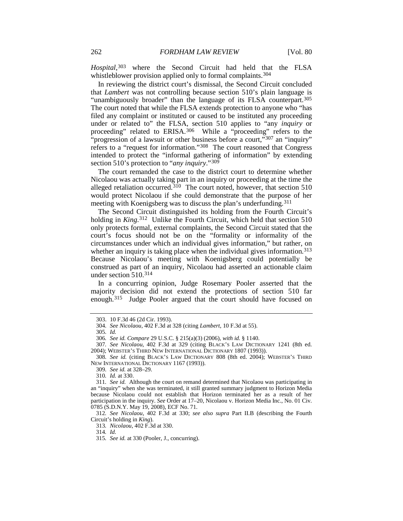*Hospital*,[303](#page-28-0) where the Second Circuit had held that the FLSA whistleblower provision applied only to formal complaints.<sup>[304](#page-28-1)</sup>

In reviewing the district court's dismissal, the Second Circuit concluded that *Lambert* was not controlling because section 510's plain language is "unambiguously broader" than the language of its FLSA counterpart.[305](#page-28-2) The court noted that while the FLSA extends protection to anyone who "has filed any complaint or instituted or caused to be instituted any proceeding under or related to" the FLSA, section 510 applies to "any *inquiry* or proceeding" related to ERISA.[306](#page-28-3) While a "proceeding" refers to the "progression of a lawsuit or other business before a court,"[307](#page-28-4) an "inquiry" refers to a "request for information."[308](#page-28-5) The court reasoned that Congress intended to protect the "informal gathering of information" by extending section 510's protection to "*any inquiry*."[309](#page-28-6)

The court remanded the case to the district court to determine whether Nicolaou was actually taking part in an inquiry or proceeding at the time the alleged retaliation occurred.<sup>[310](#page-28-7)</sup> The court noted, however, that section 510 would protect Nicolaou if she could demonstrate that the purpose of her meeting with Koenigsberg was to discuss the plan's underfunding.[311](#page-28-8)

The Second Circuit distinguished its holding from the Fourth Circuit's holding in *King*.<sup>312</sup> Unlike the Fourth Circuit, which held that section 510 only protects formal, external complaints, the Second Circuit stated that the court's focus should not be on the "formality or informality of the circumstances under which an individual gives information," but rather, on whether an inquiry is taking place when the individual gives information.<sup>[313](#page-28-10)</sup> Because Nicolaou's meeting with Koenigsberg could potentially be construed as part of an inquiry, Nicolaou had asserted an actionable claim under section 510[.314](#page-28-11)

<span id="page-28-13"></span>In a concurring opinion, Judge Rosemary Pooler asserted that the majority decision did not extend the protections of section 510 far enough.<sup>[315](#page-28-12)</sup> Judge Pooler argued that the court should have focused on

<span id="page-28-12"></span><span id="page-28-11"></span><span id="page-28-10"></span><span id="page-28-9"></span>312*. See Nicolaou*, 402 F.3d at 330; *see also supra* Part II.B (describing the Fourth Circuit's holding in *King*).

313*. Nicolaou*, 402 F.3d at 330.

314*. Id.*

<sup>303.</sup> 10 F.3d 46 (2d Cir. 1993).

<sup>304</sup>*. See Nicolaou*, 402 F.3d at 328 (citing *Lambert*, 10 F.3d at 55).

<sup>305</sup>*. Id.*

<sup>306</sup>*. See id. Compare* 29 U.S.C. § 215(a)(3) (2006), *with id.* § 1140.

<span id="page-28-4"></span><span id="page-28-3"></span><span id="page-28-2"></span><span id="page-28-1"></span><span id="page-28-0"></span><sup>307</sup>*. See Nicolaou*, 402 F.3d at 329 (citing BLACK'S LAW DICTIONARY 1241 (8th ed. 2004); WEBSTER'S THIRD NEW INTERNATIONAL DICTIONARY 1807 (1993)).

<span id="page-28-5"></span><sup>308</sup>*. See id.* (citing BLACK'S LAW DICTIONARY 808 (8th ed. 2004); WEBSTER'S THIRD NEW INTERNATIONAL DICTIONARY 1167 (1993)).

<sup>309</sup>*. See id.* at 328–29.

<sup>310</sup>*. Id.* at 330.

<span id="page-28-8"></span><span id="page-28-7"></span><span id="page-28-6"></span><sup>311</sup>*. See id.* Although the court on remand determined that Nicolaou was participating in an "inquiry" when she was terminated, it still granted summary judgment to Horizon Media because Nicolaou could not establish that Horizon terminated her as a result of her participation in the inquiry. *See* Order at 17–20, Nicolaou v. Horizon Media Inc., No. 01 Civ. 0785 (S.D.N.Y. May 19, 2008), ECF No. 71.

<sup>315</sup>*. See id.* at 330 (Pooler, J., concurring).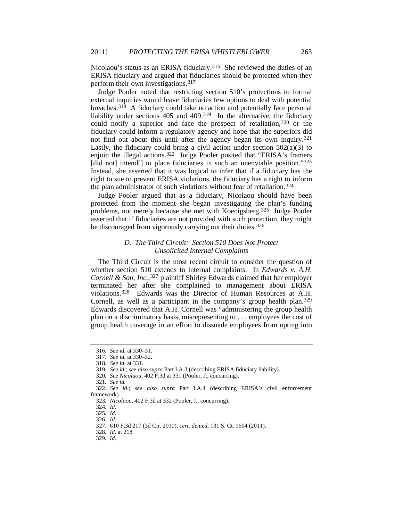Nicolaou's status as an ERISA fiduciary.<sup>316</sup> She reviewed the duties of an ERISA fiduciary and argued that fiduciaries should be protected when they perform their own investigations.[317](#page-29-1)

Judge Pooler noted that restricting section 510's protections to formal external inquiries would leave fiduciaries few options to deal with potential breaches.[318](#page-29-2) A fiduciary could take no action and potentially face personal liability under sections 405 and 409.[319](#page-29-3) In the alternative, the fiduciary could notify a superior and face the prospect of retaliation, [320](#page-29-4) or the fiduciary could inform a regulatory agency and hope that the superiors did not find out about this until after the agency began its own inquiry.<sup>[321](#page-29-5)</sup> Lastly, the fiduciary could bring a civil action under section 502(a)(3) to enjoin the illegal actions.[322](#page-29-6) Judge Pooler posited that "ERISA's framers [did not] intend<sup>[]</sup> to place fiduciaries in such an unenviable position."<sup>[323](#page-29-7)</sup> Instead, she asserted that it was logical to infer that if a fiduciary has the right to sue to prevent ERISA violations, the fiduciary has a right to inform the plan administrator of such violations without fear of retaliation.[324](#page-29-8)

Judge Pooler argued that as a fiduciary, Nicolaou should have been protected from the moment she began investigating the plan's funding problems, not merely because she met with Koenigsberg.[325](#page-29-9) Judge Pooler asserted that if fiduciaries are not provided with such protection, they might be discouraged from vigorously carrying out their duties.<sup>[326](#page-29-10)</sup>

### *D. The Third Circuit: Section 510 Does Not Protect Unsolicited Internal Complaints*

The Third Circuit is the most recent circuit to consider the question of whether section 510 extends to internal complaints. In *Edwards v. A.H. Cornell & Son, Inc.*,<sup>327</sup> plaintiff Shirley Edwards claimed that her employer terminated her after she complained to management about ERISA violations.[328](#page-29-12) Edwards was the Director of Human Resources at A.H. Cornell, as well as a participant in the company's group health plan.<sup>[329](#page-29-13)</sup> Edwards discovered that A.H. Cornell was "administering the group health plan on a discriminatory basis, misrepresenting to . . . employees the cost of group health coverage in an effort to dissuade employees from opting into

321*. See id.*

<span id="page-29-0"></span><sup>316</sup>*. See id.* at 330–31.

<sup>317</sup>*. See id.* at 330–32.

<sup>318</sup>*. See id.* at 331.

<sup>319</sup>*. See id.*; *see also supra* Part I.A.3 (describing ERISA fiduciary liability).

<sup>320</sup>*. See Nicolaou*, 402 F.3d at 331 (Pooler, J., concurring).

<span id="page-29-9"></span><span id="page-29-8"></span><span id="page-29-7"></span><span id="page-29-6"></span><span id="page-29-5"></span><span id="page-29-4"></span><span id="page-29-3"></span><span id="page-29-2"></span><span id="page-29-1"></span><sup>322</sup>*. See id.*; *see also supra* Part I.A.4 (describing ERISA's civil enforcement framework).

<sup>323</sup>*. Nicolaou*, 402 F.3d at 332 (Pooler, J., concurring).

<sup>324</sup>*. Id.*

<sup>325</sup>*. Id.*

<span id="page-29-11"></span><span id="page-29-10"></span><sup>326</sup>*. Id.*

<sup>327.</sup> 610 F.3d 217 (3d Cir. 2010), *cert. denied*, 131 S. Ct. 1604 (2011).

<span id="page-29-13"></span><span id="page-29-12"></span><sup>328</sup>*. Id.* at 218.

<sup>329</sup>*. Id.*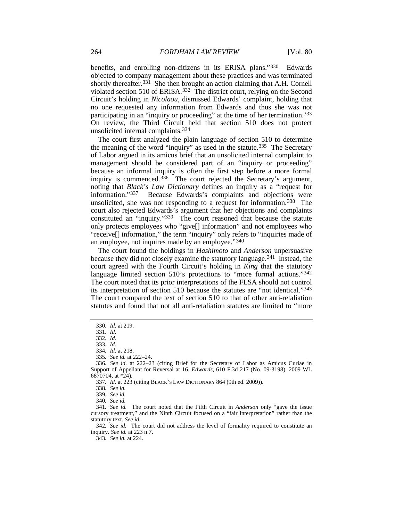benefits, and enrolling non-citizens in its ERISA plans."[330](#page-30-0) Edwards objected to company management about these practices and was terminated shortly thereafter.<sup>[331](#page-30-1)</sup> She then brought an action claiming that A.H. Cornell violated section 510 of ERISA.[332](#page-30-2) The district court, relying on the Second Circuit's holding in *Nicolaou*, dismissed Edwards' complaint, holding that no one requested any information from Edwards and thus she was not participating in an "inquiry or proceeding" at the time of her termination.[333](#page-30-3) On review, the Third Circuit held that section 510 does not protect unsolicited internal complaints.[334](#page-30-4)

<span id="page-30-14"></span>The court first analyzed the plain language of section 510 to determine the meaning of the word "inquiry" as used in the statute.[335](#page-30-5) The Secretary of Labor argued in its amicus brief that an unsolicited internal complaint to management should be considered part of an "inquiry or proceeding" because an informal inquiry is often the first step before a more formal inquiry is commenced.<sup>[336](#page-30-6)</sup> The court rejected the Secretary's argument, noting that *Black's Law Dictionary* defines an inquiry as a "request for information."[337](#page-30-7) Because Edwards's complaints and objections were unsolicited, she was not responding to a request for information.[338](#page-30-8) The court also rejected Edwards's argument that her objections and complaints constituted an "inquiry."[339](#page-30-9) The court reasoned that because the statute only protects employees who "give[] information" and not employees who "receive[] information," the term "inquiry" only refers to "inquiries made of an employee, not inquires made by an employee."[340](#page-30-10)

The court found the holdings in *Hashimoto* and *Anderson* unpersuasive because they did not closely examine the statutory language.[341](#page-30-11) Instead, the court agreed with the Fourth Circuit's holding in *King* that the statutory language limited section 510's protections to "more formal actions."<sup>[342](#page-30-12)</sup> The court noted that its prior interpretations of the FLSA should not control its interpretation of section 510 because the statutes are "not identical."[343](#page-30-13) The court compared the text of section 510 to that of other anti-retaliation statutes and found that not all anti-retaliation statutes are limited to "more

<span id="page-30-13"></span><span id="page-30-12"></span>342*. See id.* The court did not address the level of formality required to constitute an inquiry. *See id.* at 223 n.7.

343*. See id.* at 224.

<span id="page-30-0"></span><sup>330</sup>*. Id.* at 219.

<sup>331</sup>*. Id.*

<sup>332</sup>*. Id.*

<sup>333</sup>*. Id.*

<sup>334</sup>*. Id.* at 218.

<sup>335</sup>*. See id.* at 222–24.

<span id="page-30-7"></span><span id="page-30-6"></span><span id="page-30-5"></span><span id="page-30-4"></span><span id="page-30-3"></span><span id="page-30-2"></span><span id="page-30-1"></span><sup>336</sup>*. See id.* at 222–23 (citing Brief for the Secretary of Labor as Amicus Curiae in Support of Appellant for Reversal at 16, *Edwards*, 610 F.3d 217 (No. 09-3198), 2009 WL 6870704, at \*24).

<sup>337</sup>*. Id.* at 223 (citing BLACK'S LAW DICTIONARY 864 (9th ed. 2009)).

<sup>338</sup>*. See id.*

<sup>339</sup>*. See id.*

<sup>340</sup>*. See id.*

<span id="page-30-11"></span><span id="page-30-10"></span><span id="page-30-9"></span><span id="page-30-8"></span><sup>341</sup>*. See id.* The court noted that the Fifth Circuit in *Anderson* only "gave the issue cursory treatment," and the Ninth Circuit focused on a "fair interpretation" rather than the statutory text. *See id.*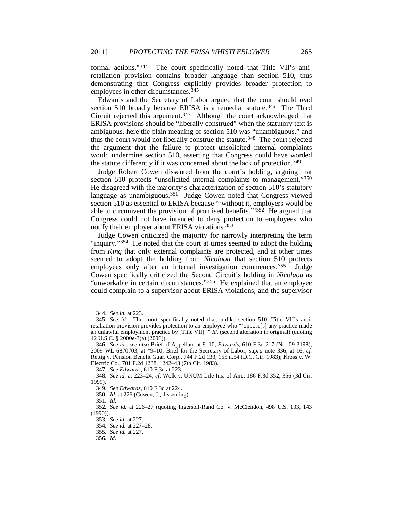formal actions."[344](#page-31-0) The court specifically noted that Title VII's antiretaliation provision contains broader language than section 510, thus demonstrating that Congress explicitly provides broader protection to employees in other circumstances.<sup>[345](#page-31-1)</sup>

Edwards and the Secretary of Labor argued that the court should read section 510 broadly because ERISA is a remedial statute.<sup>346</sup> The Third Circuit rejected this argument[.347](#page-31-3) Although the court acknowledged that ERISA provisions should be "liberally construed" when the statutory text is ambiguous, here the plain meaning of section 510 was "unambiguous," and thus the court would not liberally construe the statute.<sup>[348](#page-31-4)</sup> The court rejected the argument that the failure to protect unsolicited internal complaints would undermine section 510, asserting that Congress could have worded the statute differently if it was concerned about the lack of protection.[349](#page-31-5)

<span id="page-31-13"></span>Judge Robert Cowen dissented from the court's holding, arguing that section 510 protects "unsolicited internal complaints to management."<sup>[350](#page-31-6)</sup> He disagreed with the majority's characterization of section 510's statutory language as unambiguous.<sup>351</sup> Judge Cowen noted that Congress viewed section 510 as essential to ERISA because "'without it, employers would be able to circumvent the provision of promised benefits. $1^{352}$  He argued that Congress could not have intended to deny protection to employees who notify their employer about ERISA violations.[353](#page-31-9)

Judge Cowen criticized the majority for narrowly interpreting the term "inquiry."[354](#page-31-10) He noted that the court at times seemed to adopt the holding from *King* that only external complaints are protected, and at other times seemed to adopt the holding from *Nicolaou* that section 510 protects employees only after an internal investigation commences.<sup>355</sup> Judge Cowen specifically criticized the Second Circuit's holding in *Nicolaou* as "unworkable in certain circumstances."<sup>[356](#page-31-12)</sup> He explained that an employee could complain to a supervisor about ERISA violations, and the supervisor

<sup>344</sup>*. See id.* at 223.

<span id="page-31-1"></span><span id="page-31-0"></span><sup>345</sup>*. See id.* The court specifically noted that, unlike section 510, Title VII's antiretaliation provision provides protection to an employee who "'oppose[s] any practice made an unlawful employment practice by [Title VII]."<sup>5</sup> *Id.* (second alteration in original) (quoting 42 U.S.C. § 2000e-3(a) (2006)).

<span id="page-31-2"></span><sup>346</sup>*. See id.*; *see also* Brief of Appellant at 9–10, *Edwards*, 610 F.3d 217 (No. 09-3198), 2009 WL 6870703, at \*9–10; Brief for the Secretary of Labor, *supra* note [336,](#page-30-14) at 16; *cf.* Rettig v. Pension Benefit Guar. Corp., 744 F.2d 133, 155 n.54 (D.C. Cir. 1983); Kross v. W. Electric Co., 701 F.2d 1238, 1242–43 (7th Cir. 1983).

<sup>347</sup>*. See Edwards*, 610 F.3d at 223.

<span id="page-31-5"></span><span id="page-31-4"></span><span id="page-31-3"></span><sup>348</sup>*. See id.* at 223–24; *cf.* Wolk v. UNUM Life Ins. of Am., 186 F.3d 352, 356 (3d Cir. 1999).

<sup>349</sup>*. See Edwards*, 610 F.3d at 224.

<sup>350</sup>*. Id.* at 226 (Cowen, J., dissenting).

<sup>351</sup>*. Id.*

<span id="page-31-12"></span><span id="page-31-11"></span><span id="page-31-10"></span><span id="page-31-9"></span><span id="page-31-8"></span><span id="page-31-7"></span><span id="page-31-6"></span><sup>352</sup>*. See id.* at 226–27 (quoting Ingersoll-Rand Co. v. McClendon, 498 U.S. 133, 143 (1990)).

<sup>353</sup>*. See id.* at 227.

<sup>354</sup>*. See id.* at 227–28.

<sup>355</sup>*. See id.* at 227.

<sup>356</sup>*. Id.*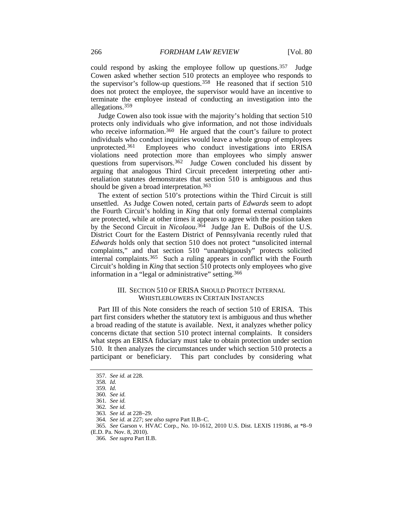could respond by asking the employee follow up questions.<sup>357</sup> Judge Cowen asked whether section 510 protects an employee who responds to the supervisor's follow-up questions.[358](#page-32-1) He reasoned that if section 510 does not protect the employee, the supervisor would have an incentive to terminate the employee instead of conducting an investigation into the allegations.[359](#page-32-2)

Judge Cowen also took issue with the majority's holding that section 510 protects only individuals who give information, and not those individuals who receive information.<sup>360</sup> He argued that the court's failure to protect individuals who conduct inquiries would leave a whole group of employees unprotected.<sup>[361](#page-32-4)</sup> Employees who conduct investigations into ERISA violations need protection more than employees who simply answer questions from supervisors.<sup>362</sup> Judge Cowen concluded his dissent by arguing that analogous Third Circuit precedent interpreting other antiretaliation statutes demonstrates that section 510 is ambiguous and thus should be given a broad interpretation.<sup>[363](#page-32-6)</sup>

The extent of section 510's protections within the Third Circuit is still unsettled. As Judge Cowen noted, certain parts of *Edwards* seem to adopt the Fourth Circuit's holding in *King* that only formal external complaints are protected, while at other times it appears to agree with the position taken by the Second Circuit in *Nicolaou*.[364](#page-32-7) Judge Jan E. DuBois of the U.S. District Court for the Eastern District of Pennsylvania recently ruled that *Edwards* holds only that section 510 does not protect "unsolicited internal complaints," and that section 510 "unambiguously" protects solicited internal complaints.[365](#page-32-8) Such a ruling appears in conflict with the Fourth Circuit's holding in *King* that section 510 protects only employees who give information in a "legal or administrative" setting.<sup>[366](#page-32-9)</sup>

#### III. SECTION 510 OF ERISA SHOULD PROTECT INTERNAL WHISTLEBLOWERS IN CERTAIN INSTANCES

Part III of this Note considers the reach of section 510 of ERISA. This part first considers whether the statutory text is ambiguous and thus whether a broad reading of the statute is available. Next, it analyzes whether policy concerns dictate that section 510 protect internal complaints. It considers what steps an ERISA fiduciary must take to obtain protection under section 510. It then analyzes the circumstances under which section 510 protects a participant or beneficiary. This part concludes by considering what

<span id="page-32-0"></span><sup>357</sup>*. See id.* at 228.

<span id="page-32-2"></span><span id="page-32-1"></span><sup>358</sup>*. Id.*

<sup>359</sup>*. Id.*

<span id="page-32-3"></span><sup>360</sup>*. See id.*

<sup>361</sup>*. See id.*

<sup>362</sup>*. See id.*

<sup>363</sup>*. See id.* at 228–29.

<sup>364</sup>*. See id.* at 227; *see also supra* Part II.B–C.

<span id="page-32-9"></span><span id="page-32-8"></span><span id="page-32-7"></span><span id="page-32-6"></span><span id="page-32-5"></span><span id="page-32-4"></span><sup>365</sup>*. See* Garson v. HVAC Corp., No. 10-1612, 2010 U.S. Dist. LEXIS 119186, at \*8–9 (E.D. Pa. Nov. 8, 2010).

<sup>366</sup>*. See supra* Part II.B.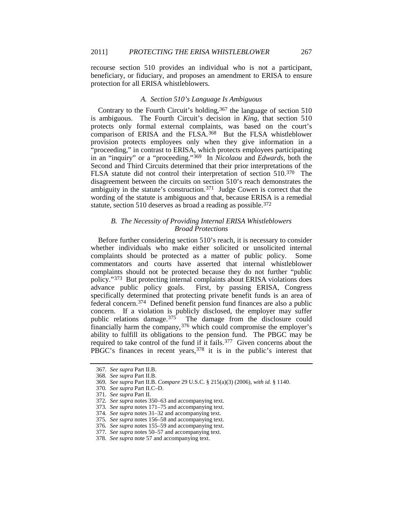recourse section 510 provides an individual who is not a participant, beneficiary, or fiduciary, and proposes an amendment to ERISA to ensure protection for all ERISA whistleblowers.

#### *A. Section 510's Language Is Ambiguous*

Contrary to the Fourth Circuit's holding,  $367$  the language of section 510 is ambiguous. The Fourth Circuit's decision in *King*, that section 510 protects only formal external complaints, was based on the court's comparison of ERISA and the FLSA.<sup>368</sup> But the FLSA whistleblower provision protects employees only when they give information in a "proceeding," in contrast to ERISA, which protects employees participating in an "inquiry" or a "proceeding."[369](#page-33-2) In *Nicolaou* and *Edwards*, both the Second and Third Circuits determined that their prior interpretations of the FLSA statute did not control their interpretation of section 510[.370](#page-33-3) The disagreement between the circuits on section 510's reach demonstrates the ambiguity in the statute's construction.<sup>[371](#page-33-4)</sup> Judge Cowen is correct that the wording of the statute is ambiguous and that, because ERISA is a remedial statute, section 510 deserves as broad a reading as possible.<sup>[372](#page-33-5)</sup>

## *B. The Necessity of Providing Internal ERISA Whistleblowers Broad Protections*

Before further considering section 510's reach, it is necessary to consider whether individuals who make either solicited or unsolicited internal complaints should be protected as a matter of public policy. Some commentators and courts have asserted that internal whistleblower complaints should not be protected because they do not further "public policy."[373](#page-33-6) But protecting internal complaints about ERISA violations does advance public policy goals. First, by passing ERISA, Congress specifically determined that protecting private benefit funds is an area of federal concern.[374](#page-33-7) Defined benefit pension fund finances are also a public concern. If a violation is publicly disclosed, the employer may suffer public relations damage[.375](#page-33-8) The damage from the disclosure could financially harm the company,  $376$  which could compromise the employer's ability to fulfill its obligations to the pension fund. The PBGC may be required to take control of the fund if it fails.[377](#page-33-10) Given concerns about the PBGC's finances in recent years, [378](#page-33-11) it is in the public's interest that

<span id="page-33-0"></span><sup>367</sup>*. See supra* Part II.B.

<span id="page-33-1"></span><sup>368</sup>*. See supra* Part II.B.

<span id="page-33-2"></span><sup>369</sup>*. See supra* Part II.B. *Compare* 29 U.S.C. § 215(a)(3) (2006), *with id.* § 1140.

<span id="page-33-3"></span><sup>370</sup>*. See supra* Part II.C–D.

<span id="page-33-4"></span><sup>371</sup>*. See supra* Part II.

<sup>372</sup>*. See supra* note[s 350–](#page-31-13)63 and accompanying text.

<span id="page-33-7"></span><span id="page-33-6"></span><span id="page-33-5"></span><sup>373</sup>*. See supra* note[s 171–](#page-17-16)75 and accompanying text.

<sup>374</sup>*. See supra* note[s 31](#page-5-14)[–32](#page-5-15) and accompanying text.

<span id="page-33-9"></span><span id="page-33-8"></span><sup>375</sup>*. See supra* note[s 156–](#page-16-13)58 and accompanying text.

<sup>376</sup>*. See supra* note[s 155–](#page-16-0)59 and accompanying text.

<sup>377</sup>*. See supra* note[s 50](#page-6-17)[–57](#page-7-13) and accompanying text.

<span id="page-33-11"></span><span id="page-33-10"></span><sup>378</sup>*. See supra* not[e 57](#page-7-13) and accompanying text.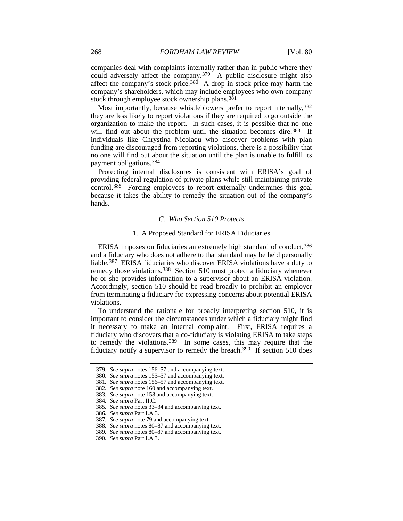companies deal with complaints internally rather than in public where they could adversely affect the company.[379](#page-34-0) A public disclosure might also affect the company's stock price.<sup>[380](#page-34-1)</sup> A drop in stock price may harm the company's shareholders, which may include employees who own company stock through employee stock ownership plans.<sup>[381](#page-34-2)</sup>

Most importantly, because whistleblowers prefer to report internally,  $382$ they are less likely to report violations if they are required to go outside the organization to make the report. In such cases, it is possible that no one will find out about the problem until the situation becomes dire.<sup>[383](#page-34-4)</sup> If individuals like Chrystina Nicolaou who discover problems with plan funding are discouraged from reporting violations, there is a possibility that no one will find out about the situation until the plan is unable to fulfill its payment obligations.[384](#page-34-5)

Protecting internal disclosures is consistent with ERISA's goal of providing federal regulation of private plans while still maintaining private control[.385](#page-34-6) Forcing employees to report externally undermines this goal because it takes the ability to remedy the situation out of the company's hands.

#### *C. Who Section 510 Protects*

#### 1. A Proposed Standard for ERISA Fiduciaries

ERISA imposes on fiduciaries an extremely high standard of conduct, [386](#page-34-7) and a fiduciary who does not adhere to that standard may be held personally liable.[387](#page-34-8) ERISA fiduciaries who discover ERISA violations have a duty to remedy those violations.<sup>[388](#page-34-9)</sup> Section 510 must protect a fiduciary whenever he or she provides information to a supervisor about an ERISA violation. Accordingly, section 510 should be read broadly to prohibit an employer from terminating a fiduciary for expressing concerns about potential ERISA violations.

To understand the rationale for broadly interpreting section 510, it is important to consider the circumstances under which a fiduciary might find it necessary to make an internal complaint. First, ERISA requires a fiduciary who discovers that a co-fiduciary is violating ERISA to take steps to remedy the violations. [389](#page-34-10) In some cases, this may require that the fiduciary notify a supervisor to remedy the breach.<sup>[390](#page-34-11)</sup> If section 510 does

<span id="page-34-1"></span><span id="page-34-0"></span><sup>379</sup>*. See supra* notes [156–](#page-16-13)57 and accompanying text.

<sup>380</sup>*. See supra* note[s 155–](#page-16-0)57 and accompanying text.

<span id="page-34-2"></span><sup>381</sup>*. See supra* note[s 156–](#page-16-13)57 and accompanying text.

<span id="page-34-3"></span><sup>382</sup>*. See supra* not[e 160](#page-16-14) and accompanying text.

<span id="page-34-4"></span><sup>383</sup>*. See supra* not[e 158](#page-16-1) and accompanying text.

<span id="page-34-5"></span><sup>384</sup>*. See supra* Part II.C.

<sup>385</sup>*. See supra* note[s 33](#page-5-16)[–34](#page-5-17) and accompanying text.

<span id="page-34-8"></span><span id="page-34-7"></span><span id="page-34-6"></span><sup>386</sup>*. See supra* Part I.A.3.

<sup>387</sup>*. See supra* not[e 79](#page-9-11) and accompanying text.

<span id="page-34-9"></span><sup>388</sup>*. See supra* note[s 80](#page-9-12)[–87](#page-10-11) and accompanying text.

<span id="page-34-10"></span><sup>389</sup>*. See supra* note[s 80–](#page-9-12)[87](#page-10-11) and accompanying text.

<span id="page-34-11"></span><sup>390</sup>*. See supra* Part I.A.3.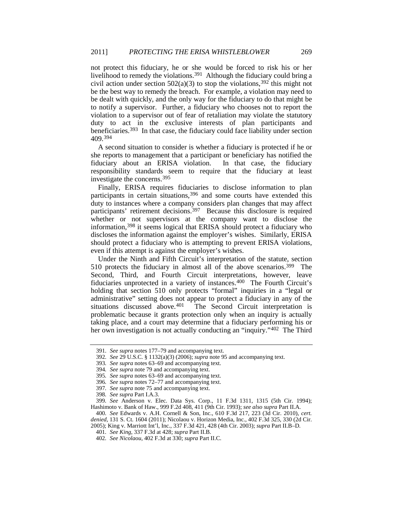not protect this fiduciary, he or she would be forced to risk his or her livelihood to remedy the violations[.391](#page-35-0) Although the fiduciary could bring a civil action under section  $502(a)(3)$  to stop the violations,<sup>[392](#page-35-1)</sup> this might not be the best way to remedy the breach. For example, a violation may need to be dealt with quickly, and the only way for the fiduciary to do that might be to notify a supervisor. Further, a fiduciary who chooses not to report the violation to a supervisor out of fear of retaliation may violate the statutory duty to act in the exclusive interests of plan participants and beneficiaries[.393](#page-35-2) In that case, the fiduciary could face liability under section 409.[394](#page-35-3)

A second situation to consider is whether a fiduciary is protected if he or she reports to management that a participant or beneficiary has notified the fiduciary about an ERISA violation. In that case, the fiduciary responsibility standards seem to require that the fiduciary at least investigate the concerns.[395](#page-35-4)

Finally, ERISA requires fiduciaries to disclose information to plan participants in certain situations,<sup>[396](#page-35-5)</sup> and some courts have extended this duty to instances where a company considers plan changes that may affect participants' retirement decisions.<sup>[397](#page-35-6)</sup> Because this disclosure is required whether or not supervisors at the company want to disclose the information,[398](#page-35-7) it seems logical that ERISA should protect a fiduciary who discloses the information against the employer's wishes. Similarly, ERISA should protect a fiduciary who is attempting to prevent ERISA violations, even if this attempt is against the employer's wishes.

Under the Ninth and Fifth Circuit's interpretation of the statute, section 510 protects the fiduciary in almost all of the above scenarios. [399](#page-35-8) The Second, Third, and Fourth Circuit interpretations, however, leave fiduciaries unprotected in a variety of instances.[400](#page-35-9) The Fourth Circuit's holding that section 510 only protects "formal" inquiries in a "legal or administrative" setting does not appear to protect a fiduciary in any of the situations discussed above. $401$  The Second Circuit interpretation is The Second Circuit interpretation is problematic because it grants protection only when an inquiry is actually taking place, and a court may determine that a fiduciary performing his or her own investigation is not actually conducting an "inquiry."<sup>[402](#page-35-11)</sup> The Third

<sup>391</sup>*. See supra* notes [177–](#page-18-10)79 and accompanying text.

<span id="page-35-1"></span><span id="page-35-0"></span><sup>392</sup>*. See* 29 U.S.C. § 1132(a)(3) (2006); *supra* not[e 95](#page-10-12) and accompanying text.

<span id="page-35-2"></span><sup>393</sup>*. See supra* note[s 63](#page-8-13)[–69](#page-8-14) and accompanying text.

<sup>394</sup>*. See supra* not[e 79](#page-9-11) and accompanying text.

<sup>395</sup>*. See supra* note[s 63](#page-8-13)[–69](#page-8-14) and accompanying text.

<sup>396</sup>*. See supra* note[s 72](#page-8-15)[–77](#page-9-13) and accompanying text.

<sup>397</sup>*. See supra* not[e 75](#page-8-16) and accompanying text.

<sup>398</sup>*. See supra* Part I.A.3.

<span id="page-35-8"></span><span id="page-35-7"></span><span id="page-35-6"></span><span id="page-35-5"></span><span id="page-35-4"></span><span id="page-35-3"></span><sup>399</sup>*. See* Anderson v. Elec. Data Sys. Corp., 11 F.3d 1311, 1315 (5th Cir. 1994); Hashimoto v. Bank of Haw., 999 F.2d 408, 411 (9th Cir. 1993); *see also supra* Part II.A.

<span id="page-35-9"></span><sup>400</sup>*. See* Edwards v. A.H. Cornell & Son, Inc., 610 F.3d 217, 223 (3d Cir. 2010), *cert. denied*, 131 S. Ct. 1604 (2011); Nicolaou v. Horizon Media, Inc., 402 F.3d 325, 330 (2d Cir.

<span id="page-35-11"></span><span id="page-35-10"></span><sup>2005);</sup> King v. Marriott Int'l, Inc., 337 F.3d 421, 428 (4th Cir. 2003); *supra* Part II.B–D.

<sup>401</sup>*. See King*, 337 F.3d at 428; *supra* Part II.B.

<sup>402</sup>*. See Nicolaou*, 402 F.3d at 330; *supra* Part II.C.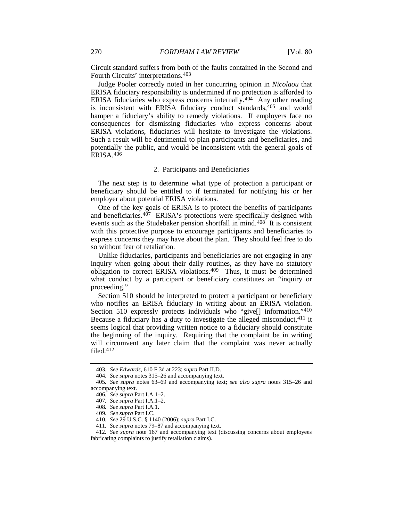Circuit standard suffers from both of the faults contained in the Second and Fourth Circuits' interpretations.[403](#page-36-0)

Judge Pooler correctly noted in her concurring opinion in *Nicolaou* that ERISA fiduciary responsibility is undermined if no protection is afforded to ERISA fiduciaries who express concerns internally.[404](#page-36-1) Any other reading is inconsistent with ERISA fiduciary conduct standards,<sup>[405](#page-36-2)</sup> and would hamper a fiduciary's ability to remedy violations. If employers face no consequences for dismissing fiduciaries who express concerns about ERISA violations, fiduciaries will hesitate to investigate the violations. Such a result will be detrimental to plan participants and beneficiaries, and potentially the public, and would be inconsistent with the general goals of ERISA.[406](#page-36-3)

#### 2. Participants and Beneficiaries

The next step is to determine what type of protection a participant or beneficiary should be entitled to if terminated for notifying his or her employer about potential ERISA violations.

One of the key goals of ERISA is to protect the benefits of participants and beneficiaries.<sup>[407](#page-36-4)</sup> ERISA's protections were specifically designed with events such as the Studebaker pension shortfall in mind.<sup>[408](#page-36-5)</sup> It is consistent with this protective purpose to encourage participants and beneficiaries to express concerns they may have about the plan. They should feel free to do so without fear of retaliation.

Unlike fiduciaries, participants and beneficiaries are not engaging in any inquiry when going about their daily routines, as they have no statutory obligation to correct ERISA violations. [409](#page-36-6) Thus, it must be determined what conduct by a participant or beneficiary constitutes an "inquiry or proceeding."

Section 510 should be interpreted to protect a participant or beneficiary who notifies an ERISA fiduciary in writing about an ERISA violation. Section 510 expressly protects individuals who "give[] information." [410](#page-36-7) Because a fiduciary has a duty to investigate the alleged misconduct,  $411$  it seems logical that providing written notice to a fiduciary should constitute the beginning of the inquiry. Requiring that the complaint be in writing will circumvent any later claim that the complaint was never actually filed[.412](#page-36-9)

<sup>403</sup>*. See Edwards*, 610 F.3d at 223; *supra* Part II.D.

<sup>404</sup>*. See supra* note[s 315–](#page-28-13)26 and accompanying text.

<span id="page-36-4"></span><span id="page-36-3"></span><span id="page-36-2"></span><span id="page-36-1"></span><span id="page-36-0"></span><sup>405</sup>*. See supra* notes [63–](#page-8-13)[69](#page-8-14) and accompanying text; *see also supra* notes [315–](#page-28-13)26 and accompanying text.

<sup>406</sup>*. See supra* Part I.A.1–2.

<sup>407</sup>*. See supra* Part I.A.1–2.

<sup>408</sup>*. See supra* Part I.A.1.

<sup>409</sup>*. See supra* Part I.C.

<sup>410</sup>*. See* 29 U.S.C. § 1140 (2006); *supra* Part I.C.

<sup>411</sup>*. See supra* note[s 79](#page-9-11)[–87](#page-10-11) and accompanying text.

<span id="page-36-9"></span><span id="page-36-8"></span><span id="page-36-7"></span><span id="page-36-6"></span><span id="page-36-5"></span><sup>412</sup>*. See supra* note [167](#page-17-17) and accompanying text (discussing concerns about employees fabricating complaints to justify retaliation claims).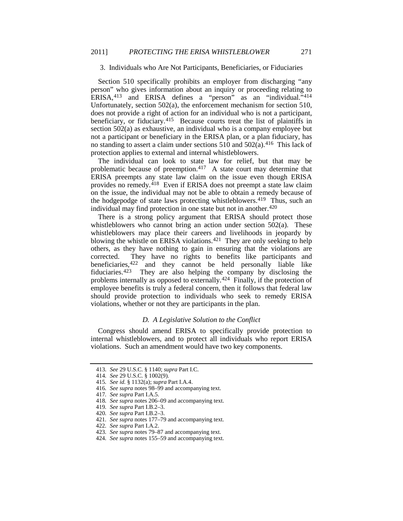#### 3. Individuals who Are Not Participants, Beneficiaries, or Fiduciaries

Section 510 specifically prohibits an employer from discharging "any person" who gives information about an inquiry or proceeding relating to ERISA,[413](#page-37-0) and ERISA defines a "person" as an "individual."[414](#page-37-1) Unfortunately, section 502(a), the enforcement mechanism for section 510, does not provide a right of action for an individual who is not a participant, beneficiary, or fiduciary.[415](#page-37-2) Because courts treat the list of plaintiffs in section 502(a) as exhaustive, an individual who is a company employee but not a participant or beneficiary in the ERISA plan, or a plan fiduciary, has no standing to assert a claim under sections 510 and 502(a).[416](#page-37-3) This lack of protection applies to external and internal whistleblowers.

The individual can look to state law for relief, but that may be problematic because of preemption. [417](#page-37-4) A state court may determine that ERISA preempts any state law claim on the issue even though ERISA provides no remedy.<sup>418</sup> Even if ERISA does not preempt a state law claim on the issue, the individual may not be able to obtain a remedy because of the hodgepodge of state laws protecting whistleblowers.[419](#page-37-6) Thus, such an individual may find protection in one state but not in another.<sup>[420](#page-37-7)</sup>

There is a strong policy argument that ERISA should protect those whistleblowers who cannot bring an action under section 502(a). These whistleblowers may place their careers and livelihoods in jeopardy by blowing the whistle on ERISA violations.<sup>[421](#page-37-8)</sup> They are only seeking to help others, as they have nothing to gain in ensuring that the violations are corrected. They have no rights to benefits like participants and beneficiaries[,422](#page-37-9) and they cannot be held personally liable like fiduciaries.[423](#page-37-10) They are also helping the company by disclosing the problems internally as opposed to externally.<sup>[424](#page-37-11)</sup> Finally, if the protection of employee benefits is truly a federal concern, then it follows that federal law should provide protection to individuals who seek to remedy ERISA violations, whether or not they are participants in the plan.

#### *D. A Legislative Solution to the Conflict*

Congress should amend ERISA to specifically provide protection to internal whistleblowers, and to protect all individuals who report ERISA violations. Such an amendment would have two key components.

<sup>413</sup>*. See* 29 U.S.C. § 1140; *supra* Part I.C.

<span id="page-37-2"></span><span id="page-37-1"></span><span id="page-37-0"></span><sup>414</sup>*. See* 29 U.S.C. § 1002(9).

<sup>415</sup>*. See id.* § 1132(a); *supra* Part I.A.4.

<span id="page-37-3"></span><sup>416</sup>*. See supra* note[s 98](#page-11-15)[–99](#page-11-14) and accompanying text.

<sup>417</sup>*. See supra* Part I.A.5.

<span id="page-37-4"></span><sup>418</sup>*. See supra* note[s 206–](#page-20-13)09 and accompanying text.

<span id="page-37-7"></span><span id="page-37-6"></span><span id="page-37-5"></span><sup>419</sup>*. See supra* Part I.B.2–3.

<sup>420</sup>*. See supra* Part I.B.2–3.

<span id="page-37-8"></span><sup>421</sup>*. See supra* note[s 177–](#page-18-10)79 and accompanying text.

<span id="page-37-9"></span><sup>422</sup>*. See supra* Part I.A.2.

<span id="page-37-10"></span><sup>423</sup>*. See supra* note[s 79–](#page-9-11)[87](#page-10-11) and accompanying text.

<span id="page-37-11"></span><sup>424</sup>*. See supra* note[s 155–](#page-16-0)59 and accompanying text.